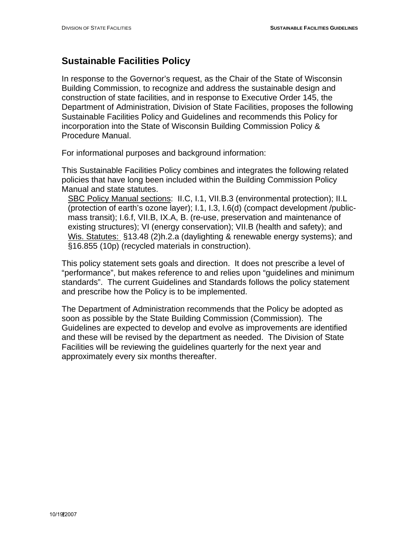## **Sustainable Facilities Policy**

In response to the Governor's request, as the Chair of the State of Wisconsin Building Commission, to recognize and address the sustainable design and construction of state facilities, and in response to Executive Order 145, the Department of Administration, Division of State Facilities, proposes the following Sustainable Facilities Policy and Guidelines and recommends this Policy for incorporation into the State of Wisconsin Building Commission Policy & Procedure Manual.

For informational purposes and background information:

This Sustainable Facilities Policy combines and integrates the following related policies that have long been included within the Building Commission Policy Manual and state statutes.

SBC Policy Manual sections: II.C, I.1, VII.B.3 (environmental protection); II.L (protection of earth's ozone layer); I.1, I.3, I.6(d) (compact development /publicmass transit); I.6.f, VII.B, IX.A, B. (re-use, preservation and maintenance of existing structures); VI (energy conservation); VII.B (health and safety); and Wis. Statutes: §13.48 (2)h.2.a (daylighting & renewable energy systems); and §16.855 (10p) (recycled materials in construction).

 This policy statement sets goals and direction. It does not prescribe a level of "performance", but makes reference to and relies upon "guidelines and minimum standards". The current Guidelines and Standards follows the policy statement and prescribe how the Policy is to be implemented.

The Department of Administration recommends that the Policy be adopted as soon as possible by the State Building Commission (Commission). The Guidelines are expected to develop and evolve as improvements are identified and these will be revised by the department as needed. The Division of State Facilities will be reviewing the guidelines quarterly for the next year and approximately every six months thereafter.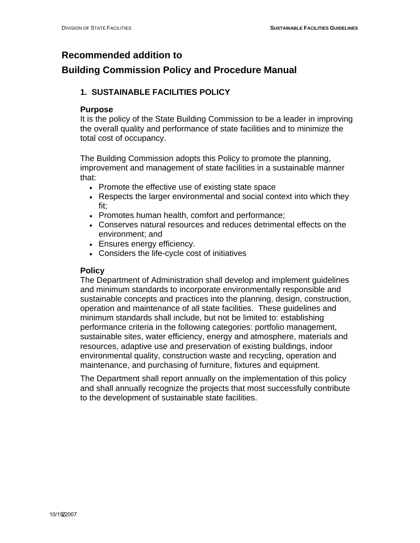### **Recommended addition to**

### **Building Commission Policy and Procedure Manual**

### **1. SUSTAINABLE FACILITIES POLICY**

### **Purpose**

It is the policy of the State Building Commission to be a leader in improving the overall quality and performance of state facilities and to minimize the total cost of occupancy.

The Building Commission adopts this Policy to promote the planning, improvement and management of state facilities in a sustainable manner that:

- Promote the effective use of existing state space
- Respects the larger environmental and social context into which they fit;
- Promotes human health, comfort and performance;
- Conserves natural resources and reduces detrimental effects on the environment; and
- Ensures energy efficiency.
- Considers the life-cycle cost of initiatives

### **Policy**

The Department of Administration shall develop and implement guidelines and minimum standards to incorporate environmentally responsible and sustainable concepts and practices into the planning, design, construction, operation and maintenance of all state facilities. These guidelines and minimum standards shall include, but not be limited to: establishing performance criteria in the following categories: portfolio management, sustainable sites, water efficiency, energy and atmosphere, materials and resources, adaptive use and preservation of existing buildings, indoor environmental quality, construction waste and recycling, operation and maintenance, and purchasing of furniture, fixtures and equipment.

The Department shall report annually on the implementation of this policy and shall annually recognize the projects that most successfully contribute to the development of sustainable state facilities.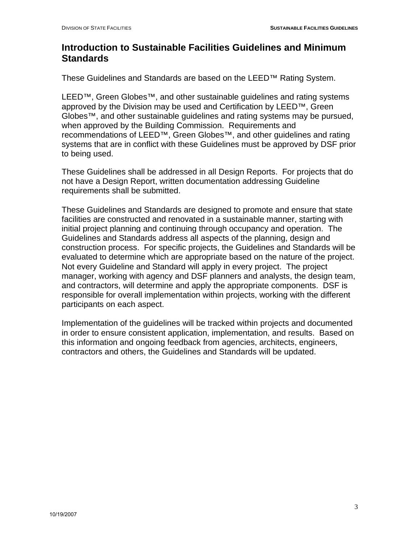### **Introduction to Sustainable Facilities Guidelines and Minimum Standards**

These Guidelines and Standards are based on the LEED™ Rating System.

LEED™, Green Globes™, and other sustainable guidelines and rating systems approved by the Division may be used and Certification by LEED™, Green Globes™, and other sustainable guidelines and rating systems may be pursued, when approved by the Building Commission. Requirements and recommendations of LEED™, Green Globes™, and other guidelines and rating systems that are in conflict with these Guidelines must be approved by DSF prior to being used.

These Guidelines shall be addressed in all Design Reports. For projects that do not have a Design Report, written documentation addressing Guideline requirements shall be submitted.

These Guidelines and Standards are designed to promote and ensure that state facilities are constructed and renovated in a sustainable manner, starting with initial project planning and continuing through occupancy and operation. The Guidelines and Standards address all aspects of the planning, design and construction process. For specific projects, the Guidelines and Standards will be evaluated to determine which are appropriate based on the nature of the project. Not every Guideline and Standard will apply in every project. The project manager, working with agency and DSF planners and analysts, the design team, and contractors, will determine and apply the appropriate components. DSF is responsible for overall implementation within projects, working with the different participants on each aspect.

Implementation of the guidelines will be tracked within projects and documented in order to ensure consistent application, implementation, and results. Based on this information and ongoing feedback from agencies, architects, engineers, contractors and others, the Guidelines and Standards will be updated.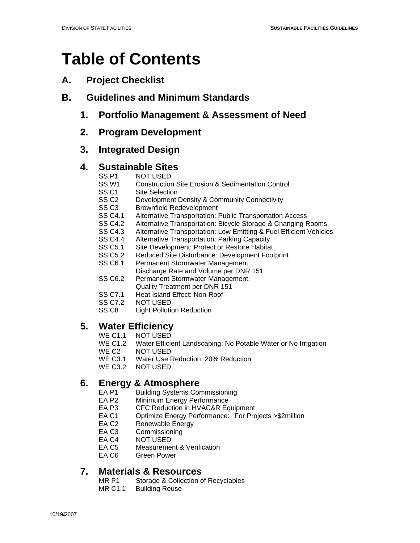## **Table of Contents**

- **A. Project Checklist**
- **B. Guidelines and Minimum Standards** 
	- **1. Portfolio Management & Assessment of Need**
	- **2. Program Development**

### **3. Integrated Design**

### **4. Sustainable Sites**

- SS P1 NOT USED
- SS W1 Construction Site Erosion & Sedimentation Control
- SS C1 Site Selection
- SS C2 Development Density & Community Connectivity
- SS C3 Brownfield Redevelopment
- SS C4.1 Alternative Transportation: Public Transportation Access
- SS C4.2 Alternative Transportation: Bicycle Storage & Changing Rooms
- SS C4.3 Alternative Transportation: Low Emitting & Fuel Efficient Vehicles
- SS C4.4 Alternative Transportation: Parking Capacity
- SS C5.1 Site Development: Protect or Restore Habitat
- SS C5.2 Reduced Site Disturbance: Development Footprint
- SS C6.1 Permanent Stormwater Management:
	- Discharge Rate and Volume per DNR 151
- SS C6.2 Permanent Stormwater Management:
	- Quality Treatment per DNR 151
- SS C7.1 Heat Island Effect: Non-Roof
- SS C7.2 NOT USED
- SS C8 Light Pollution Reduction

## **5. Water Efficiency**<br>WE C1.1 NOT USED

- WE C1.1 NOT USED<br>WE C1.2 Water Efficie
- Water Efficient Landscaping: No Potable Water or No Irrigation
- WE C<sub>2</sub> NOT USED
- WE C3.1 Water Use Reduction: 20% Reduction
- WE C3.2 NOT USED

## **6.** Energy & Atmosphere<br>EA P1 Building Systems Cor

- EA P1 Building Systems Commissioning<br>EA P2 Minimum Energy Performance
- EA P2 Minimum Energy Performance<br>EA P3 CFC Reduction in HVAC&R Ec
- CFC Reduction in HVAC&R Equipment
- EA C1 Optimize Energy Performance: For Projects >\$2million
- EA C2 Renewable Energy
- EA C3 Commissioning
- EA C4 NOT USED
- EA C5 Measurement & Verification
- EA C6 Green Power

### **7. Materials & Resources**

- MR P1 Storage & Collection of Recyclables
- MR C1.1 Building Reuse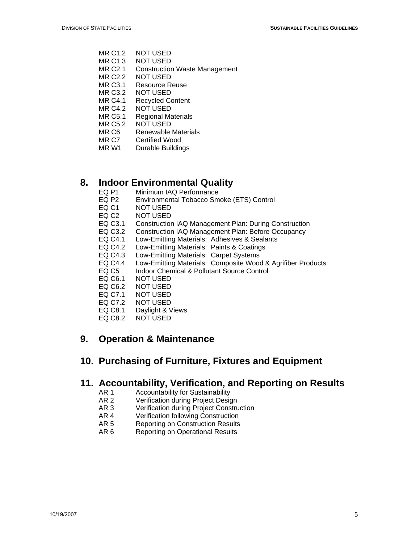- MR C1.2 NOT USED
- MR C1.3 NOT USED
- MR C2.1 Construction Waste Management
- MR C2.2 NOT USED
- MR C3.1 Resource Reuse
- MR C3.2 NOT USED
- MR C4.1 Recycled Content
- MR C4.2 NOT USED
- MR C5.1 Regional Materials<br>MR C5.2 NOT USED
- NOT USED
- MR C6 Renewable Materials<br>MR C7 Certified Wood
- MR C7 Certified Wood<br>MR W1 Durable Buildin
- **Durable Buildings**

## **8. Indoor Environmental Quality**<br>EQ P1 Minimum IAQ Performance

- Minimum IAQ Performance
- EQ P2 Environmental Tobacco Smoke (ETS) Control
- EQ C1 NOT USED
- EQ C2 NOT USED
- EQ C3.1 Construction IAQ Management Plan: During Construction
- EQ C3.2 Construction IAQ Management Plan: Before Occupancy
- EQ C4.1 Low-Emitting Materials: Adhesives & Sealants
- EQ C4.2 Low-Emitting Materials: Paints & Coatings
- EQ C4.3 Low-Emitting Materials: Carpet Systems
- EQ C4.4 Low-Emitting Materials: Composite Wood & Agrifiber Products
- EQ C5 Indoor Chemical & Pollutant Source Control
- EQ C6.1 NOT USED
- EQ C6.2 NOT USED
- EQ C7.1 NOT USED
- EQ C7.2 NOT USED
- EQ C8.1 Daylight & Views
- EQ C8.2 NOT USED

### **9. Operation & Maintenance**

### **10. Purchasing of Furniture, Fixtures and Equipment**

### **11. Accountability, Verification, and Reporting on Results**

- AR 1 Accountability for Sustainability
- AR 2 Verification during Project Design
- AR 3 Verification during Project Construction
- AR 4 Verification following Construction
- AR 5 Reporting on Construction Results
- AR 6 Reporting on Operational Results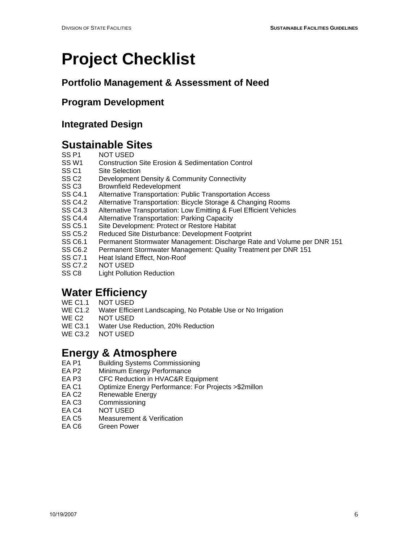## **Project Checklist**

## **Portfolio Management & Assessment of Need**

### **Program Development**

### **Integrated Design**

## **Sustainable Sites**<br>SS P1 MOT USED

- SS P1 NOT USED<br>SS W1 Construction
- Construction Site Erosion & Sedimentation Control
- SS C1 Site Selection
- SS C2 Development Density & Community Connectivity
- SS C3 Brownfield Redevelopment
- SS C4.1 Alternative Transportation: Public Transportation Access
- SS C4.2 Alternative Transportation: Bicycle Storage & Changing Rooms
- SS C4.3 Alternative Transportation: Low Emitting & Fuel Efficient Vehicles
- SS C4.4 Alternative Transportation: Parking Capacity
- SS C5.1 Site Development: Protect or Restore Habitat
- SS C5.2 Reduced Site Disturbance: Development Footprint<br>SS C6.1 Permanent Stormwater Management: Discharge R
- Permanent Stormwater Management: Discharge Rate and Volume per DNR 151
- SS C6.2 Permanent Stormwater Management: Quality Treatment per DNR 151
- SS C7.1 Heat Island Effect, Non-Roof
- SS C7.2 NOT USED
- SS C8 Light Pollution Reduction

## **Water Efficiency**

- WE C1.1 NOT USED<br>WE C1.2 Water Efficie
- WE C1.2 Water Efficient Landscaping, No Potable Use or No Irrigation<br>WE C2 NOT USED
- NOT USED
- WE C3.1 Water Use Reduction, 20% Reduction
- WE C3.2 NOT USED

## **Energy & Atmosphere**<br>EA P1 Building Systems Commis

- Building Systems Commissioning
- EA P2 Minimum Energy Performance
- EA P3 CFC Reduction in HVAC&R Equipment<br>EA C1 Cotimize Energy Performance: For Proje
- Optimize Energy Performance: For Projects >\$2millon
- EA C2 Renewable Energy
- EA C3 Commissioning
- EA C4 NOT USED
- EA C5 Measurement & Verification
- EA C6 Green Power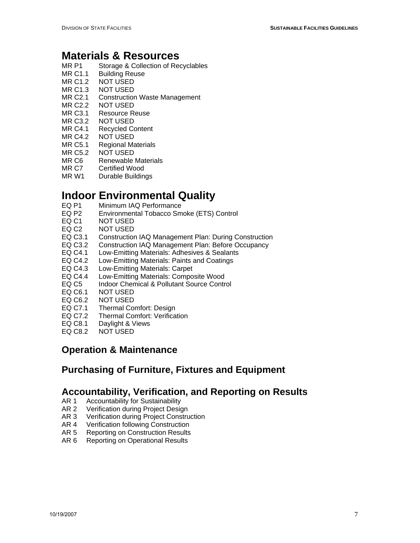- MR P1 Storage & Collection of Recyclables
- MR C1.1 Building Reuse
- MR C1.2 NOT USED
- MR C1.3 NOT USED
- MR C2.1 Construction Waste Management
- MR C2.2 NOT USED
- MR C3.1 Resource Reuse
- MR C3.2 NOT USED
- MR C4.1 Recycled Content
- MR C4.2 NOT USED
- MR C5.1 Regional Materials
- MR C5.2 NOT USED
- MR C6 Renewable Materials
- MR C7 Certified Wood
- MR W1 Durable Buildings

## **Indoor Environmental Quality**<br>EQ P1 Minimum IAQ Performance

- Minimum IAQ Performance
- EQ P2 Environmental Tobacco Smoke (ETS) Control<br>EQ C1 NOT USED
- NOT USED
- EQ C2 NOT USED
- EQ C3.1 Construction IAQ Management Plan: During Construction
- EQ C3.2 Construction IAQ Management Plan: Before Occupancy
- EQ C4.1 Low-Emitting Materials: Adhesives & Sealants
- EQ C4.2 Low-Emitting Materials: Paints and Coatings
- EQ C4.3 Low-Emitting Materials: Carpet
- EQ C4.4 Low-Emitting Materials: Composite Wood
- EQ C5 Indoor Chemical & Pollutant Source Control
- EQ C6.1 NOT USED
- EQ C6.2 NOT USED
- EQ C7.1 Thermal Comfort: Design
- EQ C7.2 Thermal Comfort: Verification
- EQ C8.1 Daylight & Views
- EQ C8.2 NOT USED

### **Operation & Maintenance**

### **Purchasing of Furniture, Fixtures and Equipment**

### **Accountability, Verification, and Reporting on Results**

- AR 1 Accountability for Sustainability<br>AR 2 Verification during Project Desig
- Verification during Project Design
- AR 3 Verification during Project Construction
- AR 4 Verification following Construction
- AR 5 Reporting on Construction Results
- AR 6 Reporting on Operational Results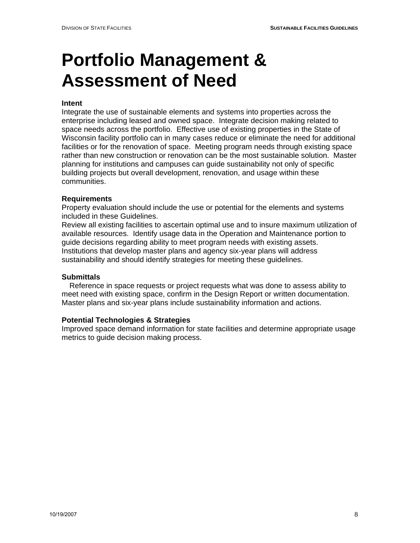# **Portfolio Management & Assessment of Need**

#### **Intent**

Integrate the use of sustainable elements and systems into properties across the enterprise including leased and owned space. Integrate decision making related to space needs across the portfolio. Effective use of existing properties in the State of Wisconsin facility portfolio can in many cases reduce or eliminate the need for additional facilities or for the renovation of space. Meeting program needs through existing space rather than new construction or renovation can be the most sustainable solution. Master planning for institutions and campuses can guide sustainability not only of specific building projects but overall development, renovation, and usage within these communities.

#### **Requirements**

Property evaluation should include the use or potential for the elements and systems included in these Guidelines.

Review all existing facilities to ascertain optimal use and to insure maximum utilization of available resources. Identify usage data in the Operation and Maintenance portion to guide decisions regarding ability to meet program needs with existing assets. Institutions that develop master plans and agency six-year plans will address sustainability and should identify strategies for meeting these guidelines.

#### **Submittals**

 Reference in space requests or project requests what was done to assess ability to meet need with existing space, confirm in the Design Report or written documentation. Master plans and six-year plans include sustainability information and actions.

#### **Potential Technologies & Strategies**

Improved space demand information for state facilities and determine appropriate usage metrics to guide decision making process.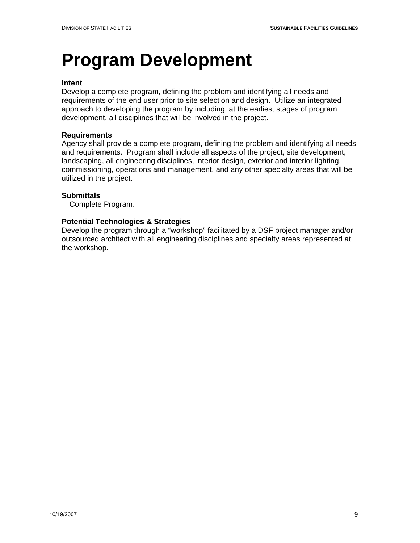## **Program Development**

#### **Intent**

Develop a complete program, defining the problem and identifying all needs and requirements of the end user prior to site selection and design. Utilize an integrated approach to developing the program by including, at the earliest stages of program development, all disciplines that will be involved in the project.

#### **Requirements**

Agency shall provide a complete program, defining the problem and identifying all needs and requirements. Program shall include all aspects of the project, site development, landscaping, all engineering disciplines, interior design, exterior and interior lighting, commissioning, operations and management, and any other specialty areas that will be utilized in the project.

#### **Submittals**

Complete Program.

#### **Potential Technologies & Strategies**

Develop the program through a "workshop" facilitated by a DSF project manager and/or outsourced architect with all engineering disciplines and specialty areas represented at the workshop**.**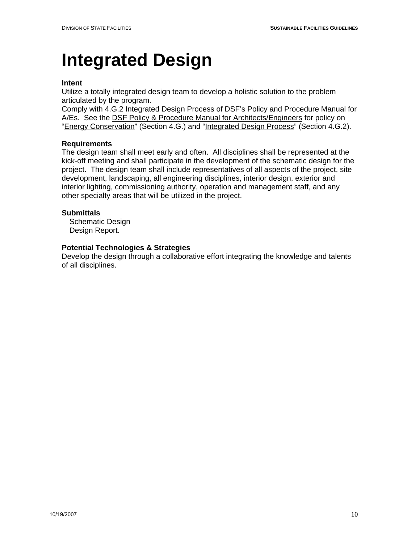## **Integrated Design**

#### **Intent**

Utilize a totally integrated design team to develop a holistic solution to the problem articulated by the program.

Comply with 4.G.2 Integrated Design Process of DSF's Policy and Procedure Manual for A/Es. See the DSF Policy & Procedure Manual for Architects/Engineers for policy on "Energy Conservation" (Section 4.G.) and "Integrated Design Process" (Section 4.G.2).

#### **Requirements**

The design team shall meet early and often. All disciplines shall be represented at the kick-off meeting and shall participate in the development of the schematic design for the project. The design team shall include representatives of all aspects of the project, site development, landscaping, all engineering disciplines, interior design, exterior and interior lighting, commissioning authority, operation and management staff, and any other specialty areas that will be utilized in the project.

#### **Submittals**

 Schematic Design Design Report.

#### **Potential Technologies & Strategies**

Develop the design through a collaborative effort integrating the knowledge and talents of all disciplines.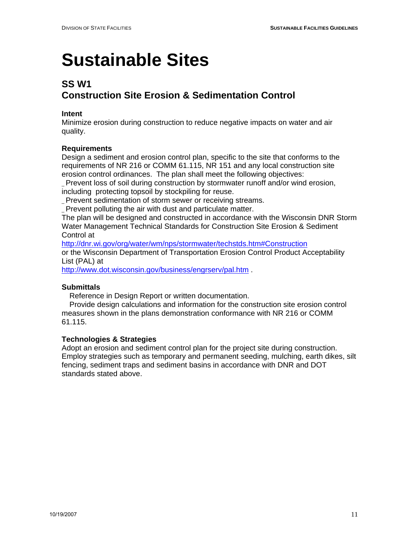## **SS W1**

## **Construction Site Erosion & Sedimentation Control**

### **Intent**

Minimize erosion during construction to reduce negative impacts on water and air quality.

### **Requirements**

Design a sediment and erosion control plan, specific to the site that conforms to the requirements of NR 216 or COMM 61.115, NR 151 and any local construction site erosion control ordinances. The plan shall meet the following objectives:

\_ Prevent loss of soil during construction by stormwater runoff and/or wind erosion, including protecting topsoil by stockpiling for reuse.

\_ Prevent sedimentation of storm sewer or receiving streams.

\_ Prevent polluting the air with dust and particulate matter.

The plan will be designed and constructed in accordance with the Wisconsin DNR Storm Water Management Technical Standards for Construction Site Erosion & Sediment Control at

http://dnr.wi.gov/org/water/wm/nps/stormwater/techstds.htm#Construction or the Wisconsin Department of Transportation Erosion Control Product Acceptability List (PAL) at

http://www.dot.wisconsin.gov/business/engrserv/pal.htm .

### **Submittals**

Reference in Design Report or written documentation.

 Provide design calculations and information for the construction site erosion control measures shown in the plans demonstration conformance with NR 216 or COMM 61.115.

### **Technologies & Strategies**

Adopt an erosion and sediment control plan for the project site during construction. Employ strategies such as temporary and permanent seeding, mulching, earth dikes, silt fencing, sediment traps and sediment basins in accordance with DNR and DOT standards stated above.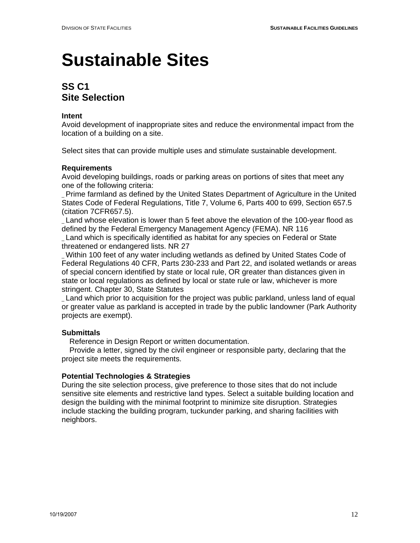## **SS C1 Site Selection**

#### **Intent**

Avoid development of inappropriate sites and reduce the environmental impact from the location of a building on a site.

Select sites that can provide multiple uses and stimulate sustainable development.

#### **Requirements**

Avoid developing buildings, roads or parking areas on portions of sites that meet any one of the following criteria:

\_ Prime farmland as defined by the United States Department of Agriculture in the United States Code of Federal Regulations, Title 7, Volume 6, Parts 400 to 699, Section 657.5 (citation 7CFR657.5).

\_ Land whose elevation is lower than 5 feet above the elevation of the 100-year flood as defined by the Federal Emergency Management Agency (FEMA). NR 116 \_ Land which is specifically identified as habitat for any species on Federal or State

threatened or endangered lists. NR 27

\_ Within 100 feet of any water including wetlands as defined by United States Code of Federal Regulations 40 CFR, Parts 230-233 and Part 22, and isolated wetlands or areas of special concern identified by state or local rule, OR greater than distances given in state or local regulations as defined by local or state rule or law, whichever is more stringent. Chapter 30, State Statutes

\_ Land which prior to acquisition for the project was public parkland, unless land of equal or greater value as parkland is accepted in trade by the public landowner (Park Authority projects are exempt).

#### **Submittals**

Reference in Design Report or written documentation.

 Provide a letter, signed by the civil engineer or responsible party, declaring that the project site meets the requirements.

#### **Potential Technologies & Strategies**

During the site selection process, give preference to those sites that do not include sensitive site elements and restrictive land types. Select a suitable building location and design the building with the minimal footprint to minimize site disruption. Strategies include stacking the building program, tuckunder parking, and sharing facilities with neighbors.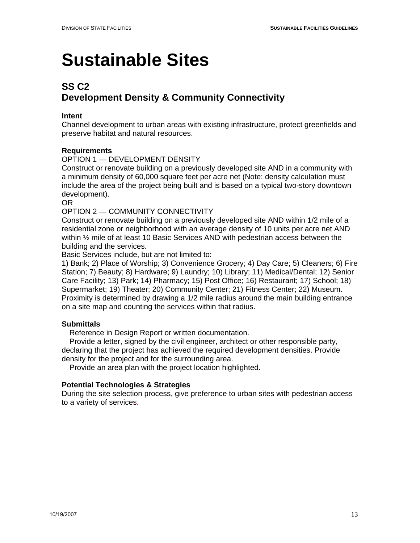## **SS C2 Development Density & Community Connectivity**

#### **Intent**

Channel development to urban areas with existing infrastructure, protect greenfields and preserve habitat and natural resources.

#### **Requirements**

#### OPTION 1 — DEVELOPMENT DENSITY

Construct or renovate building on a previously developed site AND in a community with a minimum density of 60,000 square feet per acre net (Note: density calculation must include the area of the project being built and is based on a typical two-story downtown development).

OR

#### OPTION 2 — COMMUNITY CONNECTIVITY

Construct or renovate building on a previously developed site AND within 1/2 mile of a residential zone or neighborhood with an average density of 10 units per acre net AND within ½ mile of at least 10 Basic Services AND with pedestrian access between the building and the services.

Basic Services include, but are not limited to:

1) Bank; 2) Place of Worship; 3) Convenience Grocery; 4) Day Care; 5) Cleaners; 6) Fire Station; 7) Beauty; 8) Hardware; 9) Laundry; 10) Library; 11) Medical/Dental; 12) Senior Care Facility; 13) Park; 14) Pharmacy; 15) Post Office; 16) Restaurant; 17) School; 18) Supermarket; 19) Theater; 20) Community Center; 21) Fitness Center; 22) Museum. Proximity is determined by drawing a 1/2 mile radius around the main building entrance on a site map and counting the services within that radius.

#### **Submittals**

Reference in Design Report or written documentation.

 Provide a letter, signed by the civil engineer, architect or other responsible party, declaring that the project has achieved the required development densities. Provide density for the project and for the surrounding area.

Provide an area plan with the project location highlighted.

#### **Potential Technologies & Strategies**

During the site selection process, give preference to urban sites with pedestrian access to a variety of services.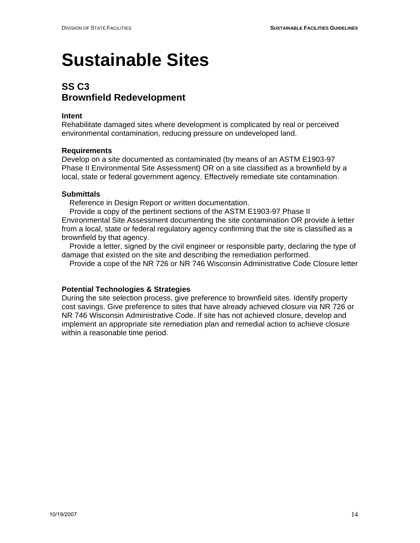### **SS C3 Brownfield Redevelopment**

#### **Intent**

Rehabilitate damaged sites where development is complicated by real or perceived environmental contamination, reducing pressure on undeveloped land.

#### **Requirements**

Develop on a site documented as contaminated (by means of an ASTM E1903-97 Phase II Environmental Site Assessment) OR on a site classified as a brownfield by a local, state or federal government agency. Effectively remediate site contamination.

#### **Submittals**

Reference in Design Report or written documentation.

 Provide a copy of the pertinent sections of the ASTM E1903-97 Phase II Environmental Site Assessment documenting the site contamination OR provide a letter from a local, state or federal regulatory agency confirming that the site is classified as a brownfield by that agency.

 Provide a letter, signed by the civil engineer or responsible party, declaring the type of damage that existed on the site and describing the remediation performed.

Provide a cope of the NR 726 or NR 746 Wisconsin Administrative Code Closure letter

#### **Potential Technologies & Strategies**

During the site selection process, give preference to brownfield sites. Identify property cost savings. Give preference to sites that have already achieved closure via NR 726 or NR 746 Wisconsin Administrative Code. If site has not achieved closure, develop and implement an appropriate site remediation plan and remedial action to achieve closure within a reasonable time period.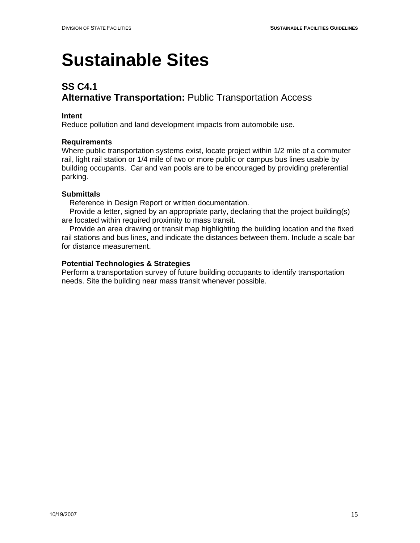## **SS C4.1 Alternative Transportation:** Public Transportation Access

#### **Intent**

Reduce pollution and land development impacts from automobile use.

#### **Requirements**

Where public transportation systems exist, locate project within 1/2 mile of a commuter rail, light rail station or 1/4 mile of two or more public or campus bus lines usable by building occupants. Car and van pools are to be encouraged by providing preferential parking.

#### **Submittals**

Reference in Design Report or written documentation.

 Provide a letter, signed by an appropriate party, declaring that the project building(s) are located within required proximity to mass transit.

 Provide an area drawing or transit map highlighting the building location and the fixed rail stations and bus lines, and indicate the distances between them. Include a scale bar for distance measurement.

#### **Potential Technologies & Strategies**

Perform a transportation survey of future building occupants to identify transportation needs. Site the building near mass transit whenever possible.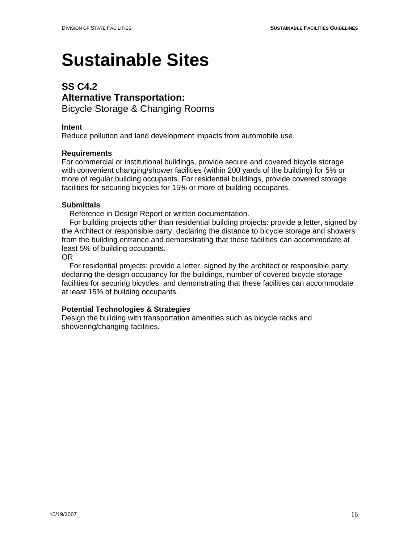### **SS C4.2 Alternative Transportation:**  Bicycle Storage & Changing Rooms

#### **Intent**

Reduce pollution and land development impacts from automobile use.

#### **Requirements**

For commercial or institutional buildings, provide secure and covered bicycle storage with convenient changing/shower facilities (within 200 yards of the building) for 5% or more of regular building occupants. For residential buildings, provide covered storage facilities for securing bicycles for 15% or more of building occupants.

#### **Submittals**

Reference in Design Report or written documentation.

 For building projects other than residential building projects: provide a letter, signed by the Architect or responsible party, declaring the distance to bicycle storage and showers from the building entrance and demonstrating that these facilities can accommodate at least 5% of building occupants.

#### OR

 For residential projects: provide a letter, signed by the architect or responsible party, declaring the design occupancy for the buildings, number of covered bicycle storage facilities for securing bicycles, and demonstrating that these facilities can accommodate at least 15% of building occupants.

#### **Potential Technologies & Strategies**

Design the building with transportation amenities such as bicycle racks and showering/changing facilities.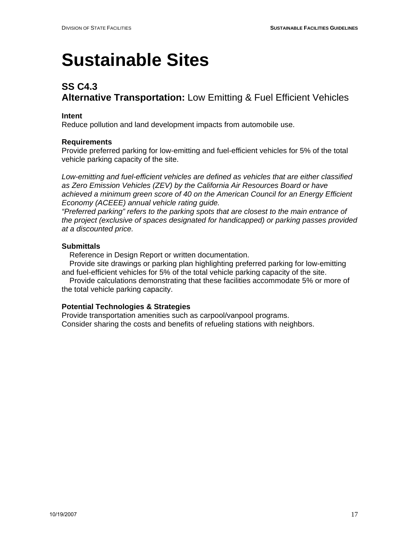## **SS C4.3 Alternative Transportation:** Low Emitting & Fuel Efficient Vehicles

#### **Intent**

Reduce pollution and land development impacts from automobile use.

#### **Requirements**

Provide preferred parking for low-emitting and fuel-efficient vehicles for 5% of the total vehicle parking capacity of the site.

*Low-emitting and fuel-efficient vehicles are defined as vehicles that are either classified as Zero Emission Vehicles (ZEV) by the California Air Resources Board or have achieved a minimum green score of 40 on the American Council for an Energy Efficient Economy (ACEEE) annual vehicle rating guide.* 

*"Preferred parking" refers to the parking spots that are closest to the main entrance of the project (exclusive of spaces designated for handicapped) or parking passes provided at a discounted price.* 

#### **Submittals**

Reference in Design Report or written documentation.

 Provide site drawings or parking plan highlighting preferred parking for low-emitting and fuel-efficient vehicles for 5% of the total vehicle parking capacity of the site.

 Provide calculations demonstrating that these facilities accommodate 5% or more of the total vehicle parking capacity.

#### **Potential Technologies & Strategies**

Provide transportation amenities such as carpool/vanpool programs. Consider sharing the costs and benefits of refueling stations with neighbors.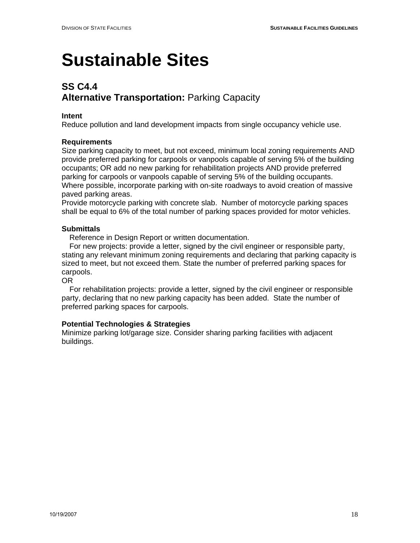## **SS C4.4 Alternative Transportation:** Parking Capacity

#### **Intent**

Reduce pollution and land development impacts from single occupancy vehicle use.

#### **Requirements**

Size parking capacity to meet, but not exceed, minimum local zoning requirements AND provide preferred parking for carpools or vanpools capable of serving 5% of the building occupants; OR add no new parking for rehabilitation projects AND provide preferred parking for carpools or vanpools capable of serving 5% of the building occupants. Where possible, incorporate parking with on-site roadways to avoid creation of massive paved parking areas.

Provide motorcycle parking with concrete slab. Number of motorcycle parking spaces shall be equal to 6% of the total number of parking spaces provided for motor vehicles.

#### **Submittals**

Reference in Design Report or written documentation.

 For new projects: provide a letter, signed by the civil engineer or responsible party, stating any relevant minimum zoning requirements and declaring that parking capacity is sized to meet, but not exceed them. State the number of preferred parking spaces for carpools.

#### OR

 For rehabilitation projects: provide a letter, signed by the civil engineer or responsible party, declaring that no new parking capacity has been added. State the number of preferred parking spaces for carpools.

#### **Potential Technologies & Strategies**

Minimize parking lot/garage size. Consider sharing parking facilities with adjacent buildings.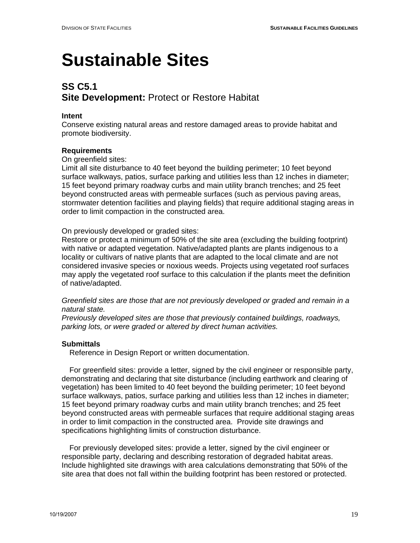## **SS C5.1 Site Development:** Protect or Restore Habitat

#### **Intent**

Conserve existing natural areas and restore damaged areas to provide habitat and promote biodiversity.

#### **Requirements**

On greenfield sites:

Limit all site disturbance to 40 feet beyond the building perimeter; 10 feet beyond surface walkways, patios, surface parking and utilities less than 12 inches in diameter; 15 feet beyond primary roadway curbs and main utility branch trenches; and 25 feet beyond constructed areas with permeable surfaces (such as pervious paving areas, stormwater detention facilities and playing fields) that require additional staging areas in order to limit compaction in the constructed area.

On previously developed or graded sites:

Restore or protect a minimum of 50% of the site area (excluding the building footprint) with native or adapted vegetation. Native/adapted plants are plants indigenous to a locality or cultivars of native plants that are adapted to the local climate and are not considered invasive species or noxious weeds. Projects using vegetated roof surfaces may apply the vegetated roof surface to this calculation if the plants meet the definition of native/adapted.

*Greenfield sites are those that are not previously developed or graded and remain in a natural state.* 

*Previously developed sites are those that previously contained buildings, roadways, parking lots, or were graded or altered by direct human activities.* 

#### **Submittals**

Reference in Design Report or written documentation.

 For greenfield sites: provide a letter, signed by the civil engineer or responsible party, demonstrating and declaring that site disturbance (including earthwork and clearing of vegetation) has been limited to 40 feet beyond the building perimeter; 10 feet beyond surface walkways, patios, surface parking and utilities less than 12 inches in diameter; 15 feet beyond primary roadway curbs and main utility branch trenches; and 25 feet beyond constructed areas with permeable surfaces that require additional staging areas in order to limit compaction in the constructed area. Provide site drawings and specifications highlighting limits of construction disturbance.

 For previously developed sites: provide a letter, signed by the civil engineer or responsible party, declaring and describing restoration of degraded habitat areas. Include highlighted site drawings with area calculations demonstrating that 50% of the site area that does not fall within the building footprint has been restored or protected.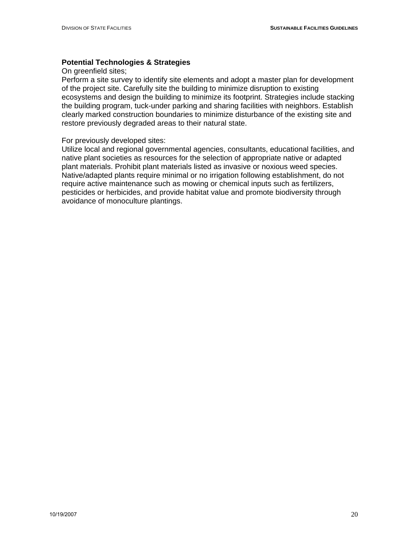#### **Potential Technologies & Strategies**

On greenfield sites;

Perform a site survey to identify site elements and adopt a master plan for development of the project site. Carefully site the building to minimize disruption to existing ecosystems and design the building to minimize its footprint. Strategies include stacking the building program, tuck-under parking and sharing facilities with neighbors. Establish clearly marked construction boundaries to minimize disturbance of the existing site and restore previously degraded areas to their natural state.

#### For previously developed sites:

Utilize local and regional governmental agencies, consultants, educational facilities, and native plant societies as resources for the selection of appropriate native or adapted plant materials. Prohibit plant materials listed as invasive or noxious weed species. Native/adapted plants require minimal or no irrigation following establishment, do not require active maintenance such as mowing or chemical inputs such as fertilizers, pesticides or herbicides, and provide habitat value and promote biodiversity through avoidance of monoculture plantings.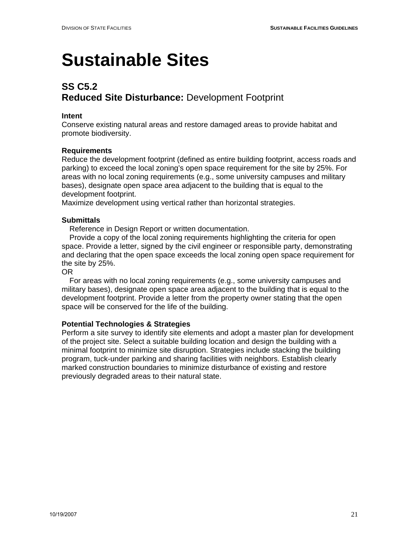## **SS C5.2 Reduced Site Disturbance:** Development Footprint

#### **Intent**

Conserve existing natural areas and restore damaged areas to provide habitat and promote biodiversity.

#### **Requirements**

Reduce the development footprint (defined as entire building footprint, access roads and parking) to exceed the local zoning's open space requirement for the site by 25%. For areas with no local zoning requirements (e.g., some university campuses and military bases), designate open space area adjacent to the building that is equal to the development footprint.

Maximize development using vertical rather than horizontal strategies.

#### **Submittals**

Reference in Design Report or written documentation.

 Provide a copy of the local zoning requirements highlighting the criteria for open space. Provide a letter, signed by the civil engineer or responsible party, demonstrating and declaring that the open space exceeds the local zoning open space requirement for the site by 25%.

#### OR

 For areas with no local zoning requirements (e.g., some university campuses and military bases), designate open space area adjacent to the building that is equal to the development footprint. Provide a letter from the property owner stating that the open space will be conserved for the life of the building.

#### **Potential Technologies & Strategies**

Perform a site survey to identify site elements and adopt a master plan for development of the project site. Select a suitable building location and design the building with a minimal footprint to minimize site disruption. Strategies include stacking the building program, tuck-under parking and sharing facilities with neighbors. Establish clearly marked construction boundaries to minimize disturbance of existing and restore previously degraded areas to their natural state.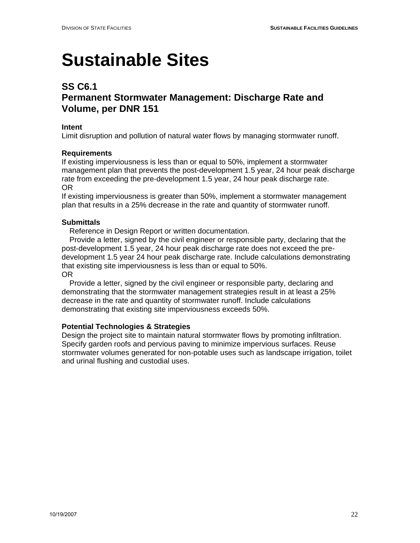### **SS C6.1**

### **Permanent Stormwater Management: Discharge Rate and Volume, per DNR 151**

#### **Intent**

Limit disruption and pollution of natural water flows by managing stormwater runoff.

#### **Requirements**

If existing imperviousness is less than or equal to 50%, implement a stormwater management plan that prevents the post-development 1.5 year, 24 hour peak discharge rate from exceeding the pre-development 1.5 year, 24 hour peak discharge rate. OR

If existing imperviousness is greater than 50%, implement a stormwater management plan that results in a 25% decrease in the rate and quantity of stormwater runoff.

#### **Submittals**

Reference in Design Report or written documentation.

 Provide a letter, signed by the civil engineer or responsible party, declaring that the post-development 1.5 year, 24 hour peak discharge rate does not exceed the predevelopment 1.5 year 24 hour peak discharge rate. Include calculations demonstrating that existing site imperviousness is less than or equal to 50%. OR

 Provide a letter, signed by the civil engineer or responsible party, declaring and demonstrating that the stormwater management strategies result in at least a 25% decrease in the rate and quantity of stormwater runoff. Include calculations demonstrating that existing site imperviousness exceeds 50%.

#### **Potential Technologies & Strategies**

Design the project site to maintain natural stormwater flows by promoting infiltration. Specify garden roofs and pervious paving to minimize impervious surfaces. Reuse stormwater volumes generated for non-potable uses such as landscape irrigation, toilet and urinal flushing and custodial uses.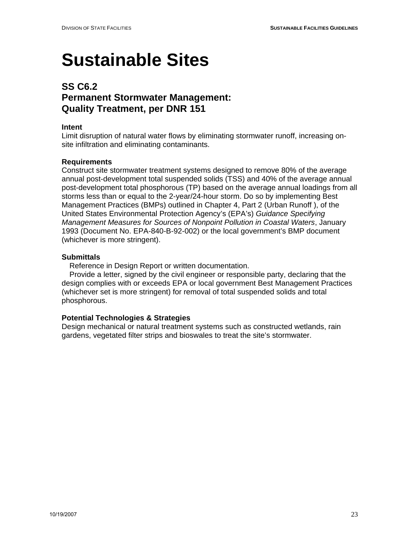### **SS C6.2 Permanent Stormwater Management: Quality Treatment, per DNR 151**

#### **Intent**

Limit disruption of natural water flows by eliminating stormwater runoff, increasing onsite infiltration and eliminating contaminants.

#### **Requirements**

Construct site stormwater treatment systems designed to remove 80% of the average annual post-development total suspended solids (TSS) and 40% of the average annual post-development total phosphorous (TP) based on the average annual loadings from all storms less than or equal to the 2-year/24-hour storm. Do so by implementing Best Management Practices (BMPs) outlined in Chapter 4, Part 2 (Urban Runoff ), of the United States Environmental Protection Agency's (EPA's) *Guidance Specifying Management Measures for Sources of Nonpoint Pollution in Coastal Waters*, January 1993 (Document No. EPA-840-B-92-002) or the local government's BMP document (whichever is more stringent).

#### **Submittals**

Reference in Design Report or written documentation.

 Provide a letter, signed by the civil engineer or responsible party, declaring that the design complies with or exceeds EPA or local government Best Management Practices (whichever set is more stringent) for removal of total suspended solids and total phosphorous.

#### **Potential Technologies & Strategies**

Design mechanical or natural treatment systems such as constructed wetlands, rain gardens, vegetated filter strips and bioswales to treat the site's stormwater.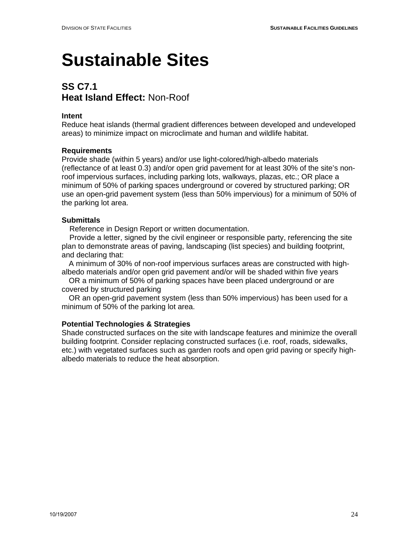## **SS C7.1 Heat Island Effect:** Non-Roof

#### **Intent**

Reduce heat islands (thermal gradient differences between developed and undeveloped areas) to minimize impact on microclimate and human and wildlife habitat.

#### **Requirements**

Provide shade (within 5 years) and/or use light-colored/high-albedo materials (reflectance of at least 0.3) and/or open grid pavement for at least 30% of the site's nonroof impervious surfaces, including parking lots, walkways, plazas, etc.; OR place a minimum of 50% of parking spaces underground or covered by structured parking; OR use an open-grid pavement system (less than 50% impervious) for a minimum of 50% of the parking lot area.

#### **Submittals**

Reference in Design Report or written documentation.

 Provide a letter, signed by the civil engineer or responsible party, referencing the site plan to demonstrate areas of paving, landscaping (list species) and building footprint, and declaring that:

A minimum of 30% of non-roof impervious surfaces areas are constructed with highalbedo materials and/or open grid pavement and/or will be shaded within five years

OR a minimum of 50% of parking spaces have been placed underground or are covered by structured parking

OR an open-grid pavement system (less than 50% impervious) has been used for a minimum of 50% of the parking lot area.

#### **Potential Technologies & Strategies**

Shade constructed surfaces on the site with landscape features and minimize the overall building footprint. Consider replacing constructed surfaces (i.e. roof, roads, sidewalks, etc.) with vegetated surfaces such as garden roofs and open grid paving or specify highalbedo materials to reduce the heat absorption.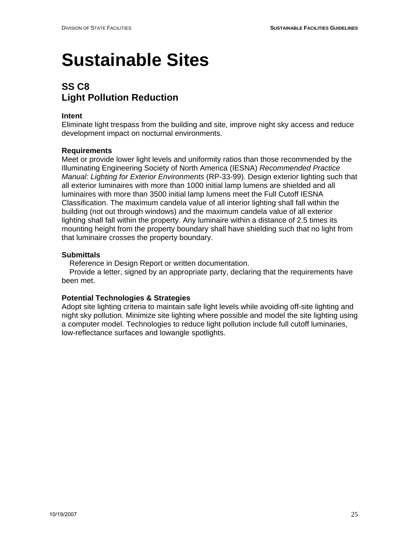## **SS C8 Light Pollution Reduction**

#### **Intent**

Eliminate light trespass from the building and site, improve night sky access and reduce development impact on nocturnal environments.

#### **Requirements**

Meet or provide lower light levels and uniformity ratios than those recommended by the Illuminating Engineering Society of North America (IESNA) *Recommended Practice Manual: Lighting for Exterior Environments* (RP-33-99). Design exterior lighting such that all exterior luminaires with more than 1000 initial lamp lumens are shielded and all luminaires with more than 3500 initial lamp lumens meet the Full Cutoff IESNA Classification. The maximum candela value of all interior lighting shall fall within the building (not out through windows) and the maximum candela value of all exterior lighting shall fall within the property. Any luminaire within a distance of 2.5 times its mounting height from the property boundary shall have shielding such that no light from that luminaire crosses the property boundary.

#### **Submittals**

Reference in Design Report or written documentation.

 Provide a letter, signed by an appropriate party, declaring that the requirements have been met.

#### **Potential Technologies & Strategies**

Adopt site lighting criteria to maintain safe light levels while avoiding off-site lighting and night sky pollution. Minimize site lighting where possible and model the site lighting using a computer model. Technologies to reduce light pollution include full cutoff luminaries, low-reflectance surfaces and lowangle spotlights.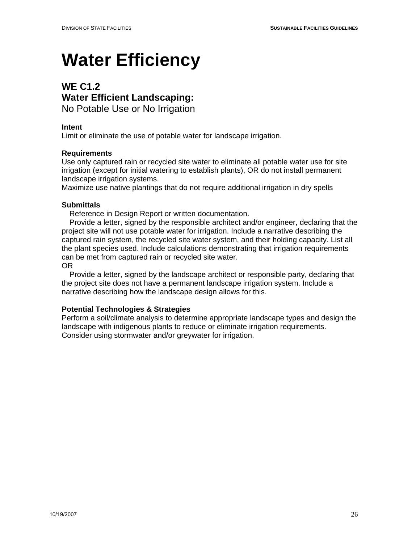# **Water Efficiency**

## **WE C1.2 Water Efficient Landscaping:**

No Potable Use or No Irrigation

### **Intent**

Limit or eliminate the use of potable water for landscape irrigation.

### **Requirements**

Use only captured rain or recycled site water to eliminate all potable water use for site irrigation (except for initial watering to establish plants), OR do not install permanent landscape irrigation systems.

Maximize use native plantings that do not require additional irrigation in dry spells

#### **Submittals**

Reference in Design Report or written documentation.

 Provide a letter, signed by the responsible architect and/or engineer, declaring that the project site will not use potable water for irrigation. Include a narrative describing the captured rain system, the recycled site water system, and their holding capacity. List all the plant species used. Include calculations demonstrating that irrigation requirements can be met from captured rain or recycled site water. OR

 Provide a letter, signed by the landscape architect or responsible party, declaring that the project site does not have a permanent landscape irrigation system. Include a narrative describing how the landscape design allows for this.

#### **Potential Technologies & Strategies**

Perform a soil/climate analysis to determine appropriate landscape types and design the landscape with indigenous plants to reduce or eliminate irrigation requirements. Consider using stormwater and/or greywater for irrigation.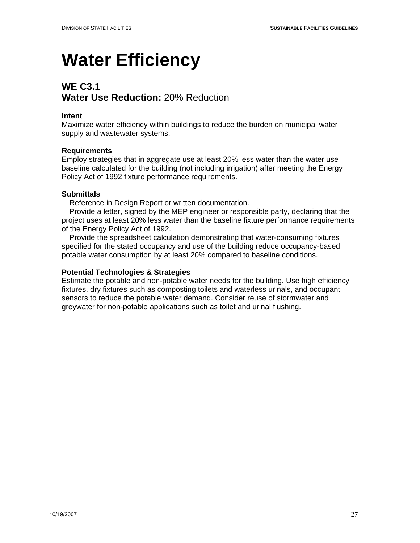## **Water Efficiency**

## **WE C3.1 Water Use Reduction:** 20% Reduction

#### **Intent**

Maximize water efficiency within buildings to reduce the burden on municipal water supply and wastewater systems.

#### **Requirements**

Employ strategies that in aggregate use at least 20% less water than the water use baseline calculated for the building (not including irrigation) after meeting the Energy Policy Act of 1992 fixture performance requirements.

#### **Submittals**

Reference in Design Report or written documentation.

 Provide a letter, signed by the MEP engineer or responsible party, declaring that the project uses at least 20% less water than the baseline fixture performance requirements of the Energy Policy Act of 1992.

 Provide the spreadsheet calculation demonstrating that water-consuming fixtures specified for the stated occupancy and use of the building reduce occupancy-based potable water consumption by at least 20% compared to baseline conditions.

#### **Potential Technologies & Strategies**

Estimate the potable and non-potable water needs for the building. Use high efficiency fixtures, dry fixtures such as composting toilets and waterless urinals, and occupant sensors to reduce the potable water demand. Consider reuse of stormwater and greywater for non-potable applications such as toilet and urinal flushing.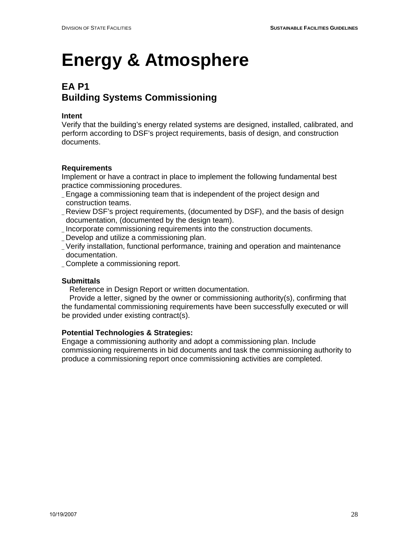## **EA P1 Building Systems Commissioning**

#### **Intent**

Verify that the building's energy related systems are designed, installed, calibrated, and perform according to DSF's project requirements, basis of design, and construction documents.

### **Requirements**

Implement or have a contract in place to implement the following fundamental best practice commissioning procedures.

- \_ Engage a commissioning team that is independent of the project design and construction teams.
- \_ Review DSF's project requirements, (documented by DSF), and the basis of design documentation, (documented by the design team).
- \_ Incorporate commissioning requirements into the construction documents.
- \_ Develop and utilize a commissioning plan.
- \_ Verify installation, functional performance, training and operation and maintenance documentation.
- \_ Complete a commissioning report.

#### **Submittals**

Reference in Design Report or written documentation.

 Provide a letter, signed by the owner or commissioning authority(s), confirming that the fundamental commissioning requirements have been successfully executed or will be provided under existing contract(s).

#### **Potential Technologies & Strategies:**

Engage a commissioning authority and adopt a commissioning plan. Include commissioning requirements in bid documents and task the commissioning authority to produce a commissioning report once commissioning activities are completed.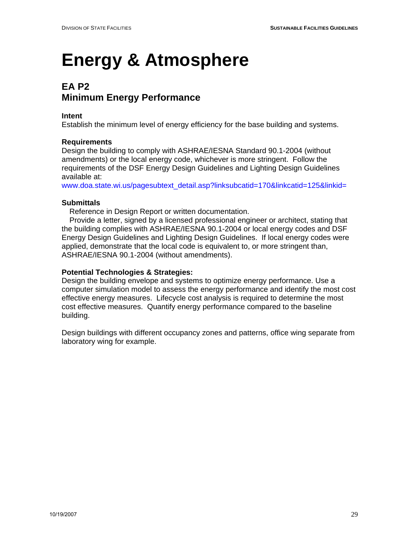## **EA P2 Minimum Energy Performance**

#### **Intent**

Establish the minimum level of energy efficiency for the base building and systems.

#### **Requirements**

Design the building to comply with ASHRAE/IESNA Standard 90.1-2004 (without amendments) or the local energy code, whichever is more stringent. Follow the requirements of the DSF Energy Design Guidelines and Lighting Design Guidelines available at:

www.doa.state.wi.us/pagesubtext\_detail.asp?linksubcatid=170&linkcatid=125&linkid=

#### **Submittals**

Reference in Design Report or written documentation.

 Provide a letter, signed by a licensed professional engineer or architect, stating that the building complies with ASHRAE/IESNA 90.1-2004 or local energy codes and DSF Energy Design Guidelines and Lighting Design Guidelines. If local energy codes were applied, demonstrate that the local code is equivalent to, or more stringent than, ASHRAE/IESNA 90.1-2004 (without amendments).

#### **Potential Technologies & Strategies:**

Design the building envelope and systems to optimize energy performance. Use a computer simulation model to assess the energy performance and identify the most cost effective energy measures. Lifecycle cost analysis is required to determine the most cost effective measures. Quantify energy performance compared to the baseline building.

Design buildings with different occupancy zones and patterns, office wing separate from laboratory wing for example.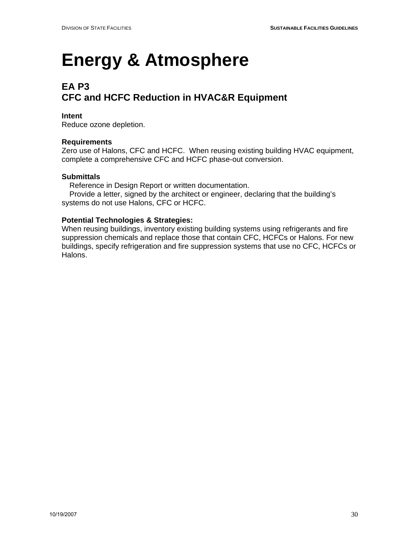## **EA P3 CFC and HCFC Reduction in HVAC&R Equipment**

#### **Intent**

Reduce ozone depletion.

#### **Requirements**

Zero use of Halons, CFC and HCFC. When reusing existing building HVAC equipment, complete a comprehensive CFC and HCFC phase-out conversion.

#### **Submittals**

Reference in Design Report or written documentation.

 Provide a letter, signed by the architect or engineer, declaring that the building's systems do not use Halons, CFC or HCFC.

#### **Potential Technologies & Strategies:**

When reusing buildings, inventory existing building systems using refrigerants and fire suppression chemicals and replace those that contain CFC, HCFCs or Halons. For new buildings, specify refrigeration and fire suppression systems that use no CFC, HCFCs or Halons.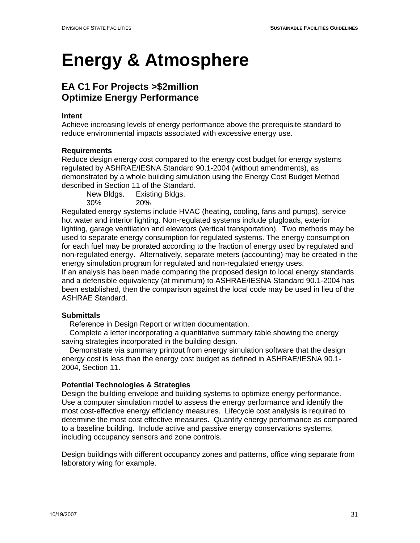### **EA C1 For Projects >\$2million Optimize Energy Performance**

#### **Intent**

Achieve increasing levels of energy performance above the prerequisite standard to reduce environmental impacts associated with excessive energy use.

#### **Requirements**

Reduce design energy cost compared to the energy cost budget for energy systems regulated by ASHRAE/IESNA Standard 90.1-2004 (without amendments), as demonstrated by a whole building simulation using the Energy Cost Budget Method described in Section 11 of the Standard.

New Bldgs. Existing Bldgs.

30% 20%

Regulated energy systems include HVAC (heating, cooling, fans and pumps), service hot water and interior lighting. Non-regulated systems include plugloads, exterior lighting, garage ventilation and elevators (vertical transportation). Two methods may be used to separate energy consumption for regulated systems. The energy consumption for each fuel may be prorated according to the fraction of energy used by regulated and non-regulated energy. Alternatively, separate meters (accounting) may be created in the energy simulation program for regulated and non-regulated energy uses.

If an analysis has been made comparing the proposed design to local energy standards and a defensible equivalency (at minimum) to ASHRAE/IESNA Standard 90.1-2004 has been established, then the comparison against the local code may be used in lieu of the ASHRAE Standard.

#### **Submittals**

Reference in Design Report or written documentation.

 Complete a letter incorporating a quantitative summary table showing the energy saving strategies incorporated in the building design.

 Demonstrate via summary printout from energy simulation software that the design energy cost is less than the energy cost budget as defined in ASHRAE/IESNA 90.1- 2004, Section 11.

#### **Potential Technologies & Strategies**

Design the building envelope and building systems to optimize energy performance. Use a computer simulation model to assess the energy performance and identify the most cost-effective energy efficiency measures. Lifecycle cost analysis is required to determine the most cost effective measures. Quantify energy performance as compared to a baseline building. Include active and passive energy conservations systems, including occupancy sensors and zone controls.

Design buildings with different occupancy zones and patterns, office wing separate from laboratory wing for example.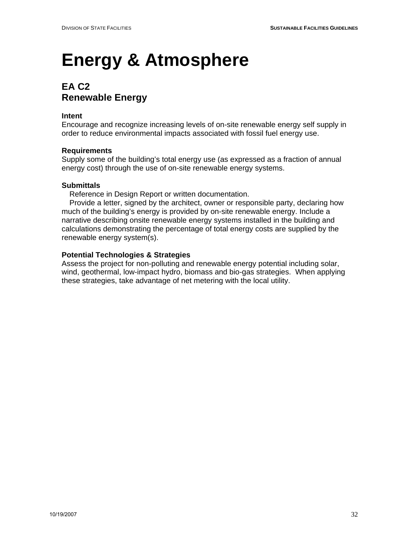## **EA C2 Renewable Energy**

#### **Intent**

Encourage and recognize increasing levels of on-site renewable energy self supply in order to reduce environmental impacts associated with fossil fuel energy use.

#### **Requirements**

Supply some of the building's total energy use (as expressed as a fraction of annual energy cost) through the use of on-site renewable energy systems.

#### **Submittals**

Reference in Design Report or written documentation.

 Provide a letter, signed by the architect, owner or responsible party, declaring how much of the building's energy is provided by on-site renewable energy. Include a narrative describing onsite renewable energy systems installed in the building and calculations demonstrating the percentage of total energy costs are supplied by the renewable energy system(s).

#### **Potential Technologies & Strategies**

Assess the project for non-polluting and renewable energy potential including solar, wind, geothermal, low-impact hydro, biomass and bio-gas strategies. When applying these strategies, take advantage of net metering with the local utility.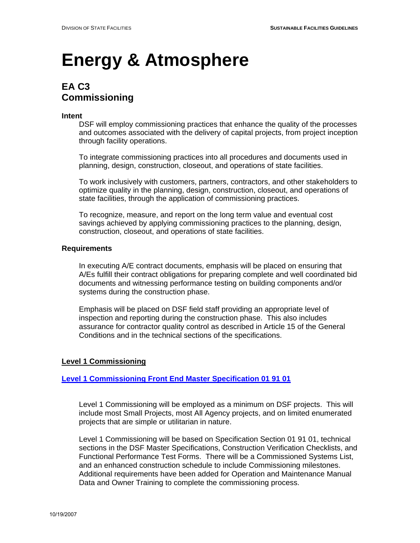### **EA C3 Commissioning**

#### **Intent**

DSF will employ commissioning practices that enhance the quality of the processes and outcomes associated with the delivery of capital projects, from project inception through facility operations.

 To integrate commissioning practices into all procedures and documents used in planning, design, construction, closeout, and operations of state facilities.

 To work inclusively with customers, partners, contractors, and other stakeholders to optimize quality in the planning, design, construction, closeout, and operations of state facilities, through the application of commissioning practices.

 To recognize, measure, and report on the long term value and eventual cost savings achieved by applying commissioning practices to the planning, design, construction, closeout, and operations of state facilities.

#### **Requirements**

In executing A/E contract documents, emphasis will be placed on ensuring that A/Es fulfill their contract obligations for preparing complete and well coordinated bid documents and witnessing performance testing on building components and/or systems during the construction phase.

Emphasis will be placed on DSF field staff providing an appropriate level of inspection and reporting during the construction phase. This also includes assurance for contractor quality control as described in Article 15 of the General Conditions and in the technical sections of the specifications.

#### **Level 1 Commissioning**

#### **[Level 1 Commissioning Front End Master Specification 01 91 01](http://www.doa.state.wi.us/dsf/masterspec_view_new.asp?catid=6&locid=4)**

 Level 1 Commissioning will be employed as a minimum on DSF projects. This will include most Small Projects, most All Agency projects, and on limited enumerated projects that are simple or utilitarian in nature.

Level 1 Commissioning will be based on Specification Section 01 91 01, technical sections in the DSF Master Specifications, Construction Verification Checklists, and Functional Performance Test Forms. There will be a Commissioned Systems List, and an enhanced construction schedule to include Commissioning milestones. Additional requirements have been added for Operation and Maintenance Manual Data and Owner Training to complete the commissioning process.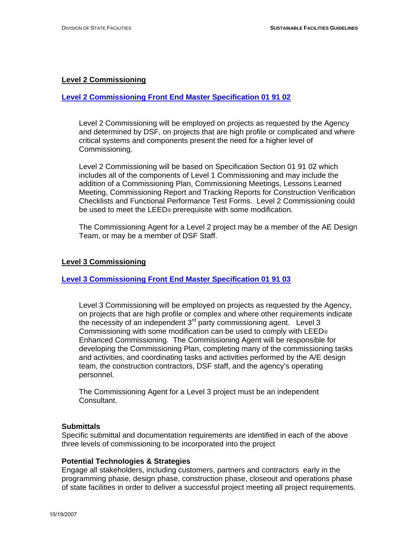#### **Level 2 Commissioning**

#### **[Level 2 Commissioning Front End Master Specification 01 91 02](http://www.doa.state.wi.us/dsf/masterspec_view_new.asp?catid=6&locid=4)**

 Level 2 Commissioning will be employed on projects as requested by the Agency and determined by DSF, on projects that are high profile or complicated and where critical systems and components present the need for a higher level of Commissioning.

 Level 2 Commissioning will be based on Specification Section 01 91 02 which includes all of the components of Level 1 Commissioning and may include the addition of a Commissioning Plan, Commissioning Meetings, Lessons Learned Meeting, Commissioning Report and Tracking Reports for Construction Verification Checklists and Functional Performance Test Forms. Level 2 Commissioning could be used to meet the LEED® prerequisite with some modification.

 The Commissioning Agent for a Level 2 project may be a member of the AE Design Team, or may be a member of DSF Staff.

#### **Level 3 Commissioning**

#### **[Level 3 Commissioning Front End Master Specification 01 91 03](http://www.doa.state.wi.us/dsf/masterspec_view_new.asp?catid=6&locid=4)**

 Level 3 Commissioning will be employed on projects as requested by the Agency, on projects that are high profile or complex and where other requirements indicate the necessity of an independent 3<sup>rd</sup> party commissioning agent. Level 3 Commissioning with some modification can be used to comply with LEED® Enhanced Commissioning. The Commissioning Agent will be responsible for developing the Commissioning Plan, completing many of the commissioning tasks and activities, and coordinating tasks and activities performed by the A/E design team, the construction contractors, DSF staff, and the agency's operating personnel.

 The Commissioning Agent for a Level 3 project must be an independent Consultant.

#### **Submittals**

Specific submittal and documentation requirements are identified in each of the above three levels of commissioning to be incorporated into the project

#### **Potential Technologies & Strategies**

Engage all stakeholders, including customers, partners and contractors early in the programming phase, design phase, construction phase, closeout and operations phase of state facilities in order to deliver a successful project meeting all project requirements.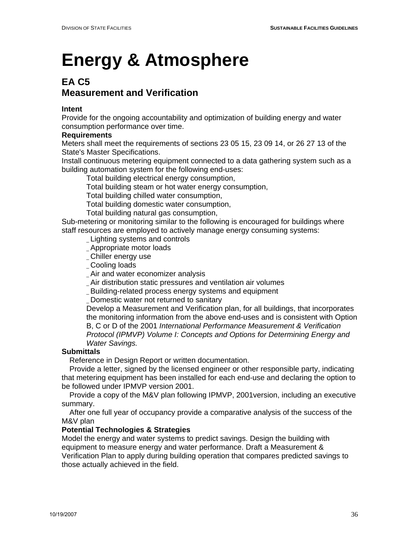### **EA C5 Measurement and Verification**

#### **Intent**

Provide for the ongoing accountability and optimization of building energy and water consumption performance over time.

#### **Requirements**

Meters shall meet the requirements of sections 23 05 15, 23 09 14, or 26 27 13 of the State's Master Specifications.

Install continuous metering equipment connected to a data gathering system such as a building automation system for the following end-uses:

Total building electrical energy consumption,

Total building steam or hot water energy consumption,

Total building chilled water consumption,

Total building domestic water consumption,

Total building natural gas consumption,

Sub-metering or monitoring similar to the following is encouraged for buildings where staff resources are employed to actively manage energy consuming systems:

\_ Lighting systems and controls

- \_ Appropriate motor loads
- \_ Chiller energy use
- Cooling loads
- Air and water economizer analysis

\_ Air distribution static pressures and ventilation air volumes

\_ Building-related process energy systems and equipment

\_ Domestic water not returned to sanitary

Develop a Measurement and Verification plan, for all buildings, that incorporates the monitoring information from the above end-uses and is consistent with Option B, C or D of the 2001 *International Performance Measurement & Verification Protocol (IPMVP) Volume I: Concepts and Options for Determining Energy and Water Savings.* 

#### **Submittals**

Reference in Design Report or written documentation.

 Provide a letter, signed by the licensed engineer or other responsible party, indicating that metering equipment has been installed for each end-use and declaring the option to be followed under IPMVP version 2001.

 Provide a copy of the M&V plan following IPMVP, 2001version, including an executive summary.

 After one full year of occupancy provide a comparative analysis of the success of the M&V plan

#### **Potential Technologies & Strategies**

Model the energy and water systems to predict savings. Design the building with equipment to measure energy and water performance. Draft a Measurement & Verification Plan to apply during building operation that compares predicted savings to those actually achieved in the field.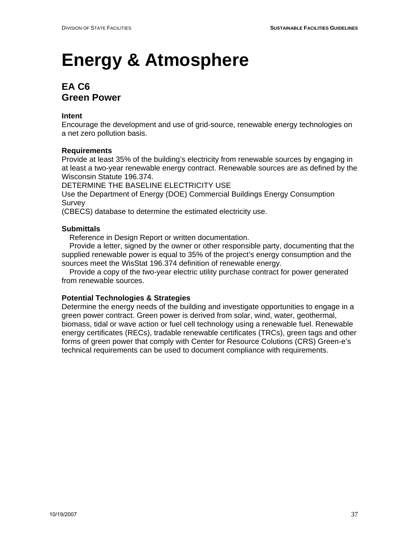## **EA C6 Green Power**

#### **Intent**

Encourage the development and use of grid-source, renewable energy technologies on a net zero pollution basis.

#### **Requirements**

Provide at least 35% of the building's electricity from renewable sources by engaging in at least a two-year renewable energy contract. Renewable sources are as defined by the Wisconsin Statute 196.374.

DETERMINE THE BASELINE ELECTRICITY USE

Use the Department of Energy (DOE) Commercial Buildings Energy Consumption **Survey** 

(CBECS) database to determine the estimated electricity use.

#### **Submittals**

Reference in Design Report or written documentation.

 Provide a letter, signed by the owner or other responsible party, documenting that the supplied renewable power is equal to 35% of the project's energy consumption and the sources meet the WisStat 196.374 definition of renewable energy.

 Provide a copy of the two-year electric utility purchase contract for power generated from renewable sources.

#### **Potential Technologies & Strategies**

Determine the energy needs of the building and investigate opportunities to engage in a green power contract. Green power is derived from solar, wind, water, geothermal, biomass, tidal or wave action or fuel cell technology using a renewable fuel. Renewable energy certificates (RECs), tradable renewable certificates (TRCs), green tags and other forms of green power that comply with Center for Resource Colutions (CRS) Green-e's technical requirements can be used to document compliance with requirements.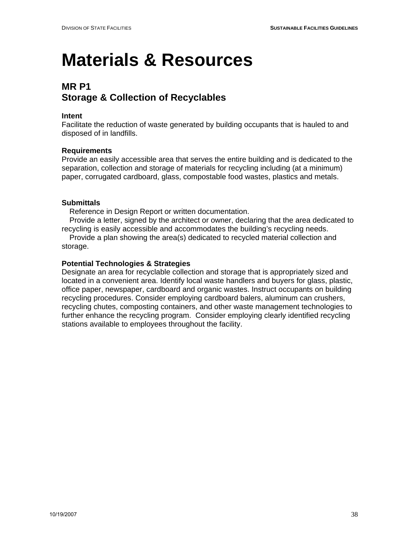## **MR P1 Storage & Collection of Recyclables**

#### **Intent**

Facilitate the reduction of waste generated by building occupants that is hauled to and disposed of in landfills.

#### **Requirements**

Provide an easily accessible area that serves the entire building and is dedicated to the separation, collection and storage of materials for recycling including (at a minimum) paper, corrugated cardboard, glass, compostable food wastes, plastics and metals.

#### **Submittals**

Reference in Design Report or written documentation.

 Provide a letter, signed by the architect or owner, declaring that the area dedicated to recycling is easily accessible and accommodates the building's recycling needs.

 Provide a plan showing the area(s) dedicated to recycled material collection and storage.

#### **Potential Technologies & Strategies**

Designate an area for recyclable collection and storage that is appropriately sized and located in a convenient area. Identify local waste handlers and buyers for glass, plastic, office paper, newspaper, cardboard and organic wastes. Instruct occupants on building recycling procedures. Consider employing cardboard balers, aluminum can crushers, recycling chutes, composting containers, and other waste management technologies to further enhance the recycling program. Consider employing clearly identified recycling stations available to employees throughout the facility.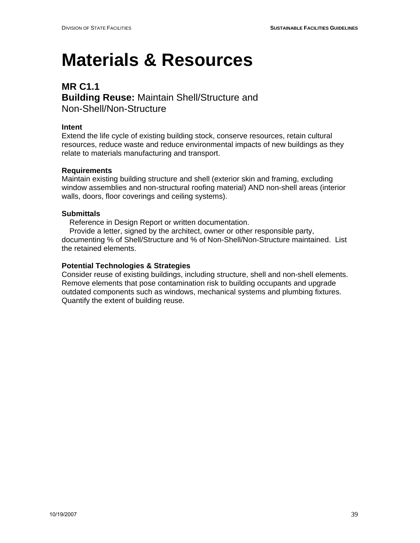### **MR C1.1 Building Reuse:** Maintain Shell/Structure and Non-Shell/Non-Structure

#### **Intent**

Extend the life cycle of existing building stock, conserve resources, retain cultural resources, reduce waste and reduce environmental impacts of new buildings as they relate to materials manufacturing and transport.

#### **Requirements**

Maintain existing building structure and shell (exterior skin and framing, excluding window assemblies and non-structural roofing material) AND non-shell areas (interior walls, doors, floor coverings and ceiling systems).

#### **Submittals**

Reference in Design Report or written documentation.

 Provide a letter, signed by the architect, owner or other responsible party, documenting % of Shell/Structure and % of Non-Shell/Non-Structure maintained. List the retained elements.

#### **Potential Technologies & Strategies**

Consider reuse of existing buildings, including structure, shell and non-shell elements. Remove elements that pose contamination risk to building occupants and upgrade outdated components such as windows, mechanical systems and plumbing fixtures. Quantify the extent of building reuse.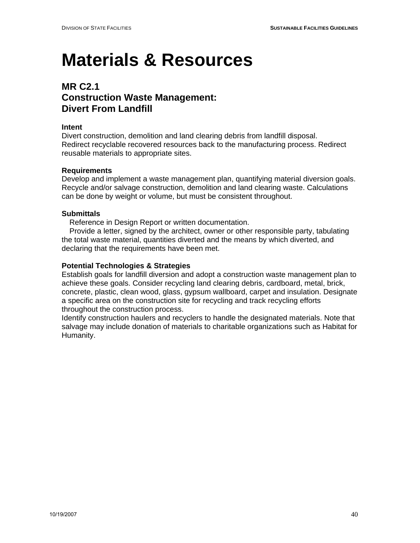### **MR C2.1 Construction Waste Management: Divert From Landfill**

#### **Intent**

Divert construction, demolition and land clearing debris from landfill disposal. Redirect recyclable recovered resources back to the manufacturing process. Redirect reusable materials to appropriate sites.

#### **Requirements**

Develop and implement a waste management plan, quantifying material diversion goals. Recycle and/or salvage construction, demolition and land clearing waste. Calculations can be done by weight or volume, but must be consistent throughout.

#### **Submittals**

Reference in Design Report or written documentation.

 Provide a letter, signed by the architect, owner or other responsible party, tabulating the total waste material, quantities diverted and the means by which diverted, and declaring that the requirements have been met.

#### **Potential Technologies & Strategies**

Establish goals for landfill diversion and adopt a construction waste management plan to achieve these goals. Consider recycling land clearing debris, cardboard, metal, brick, concrete, plastic, clean wood, glass, gypsum wallboard, carpet and insulation. Designate a specific area on the construction site for recycling and track recycling efforts throughout the construction process.

Identify construction haulers and recyclers to handle the designated materials. Note that salvage may include donation of materials to charitable organizations such as Habitat for Humanity.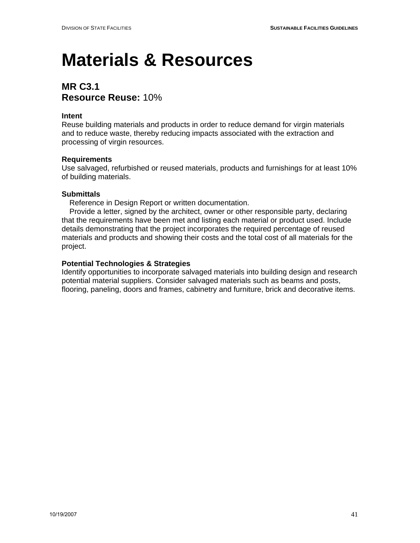### **MR C3.1 Resource Reuse:** 10%

#### **Intent**

Reuse building materials and products in order to reduce demand for virgin materials and to reduce waste, thereby reducing impacts associated with the extraction and processing of virgin resources.

#### **Requirements**

Use salvaged, refurbished or reused materials, products and furnishings for at least 10% of building materials.

#### **Submittals**

Reference in Design Report or written documentation.

 Provide a letter, signed by the architect, owner or other responsible party, declaring that the requirements have been met and listing each material or product used. Include details demonstrating that the project incorporates the required percentage of reused materials and products and showing their costs and the total cost of all materials for the project.

#### **Potential Technologies & Strategies**

Identify opportunities to incorporate salvaged materials into building design and research potential material suppliers. Consider salvaged materials such as beams and posts, flooring, paneling, doors and frames, cabinetry and furniture, brick and decorative items.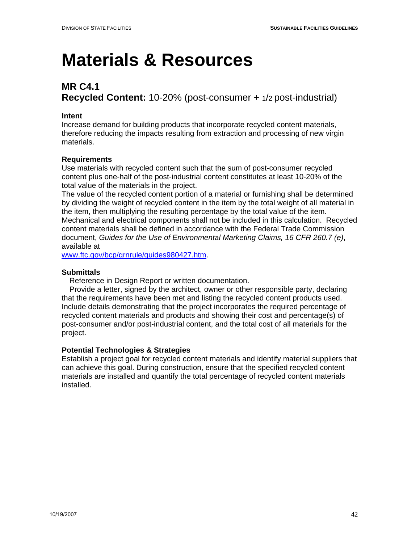## **MR C4.1 Recycled Content:** 10-20% (post-consumer + 1/2 post-industrial)

#### **Intent**

Increase demand for building products that incorporate recycled content materials, therefore reducing the impacts resulting from extraction and processing of new virgin materials.

#### **Requirements**

Use materials with recycled content such that the sum of post-consumer recycled content plus one-half of the post-industrial content constitutes at least 10-20% of the total value of the materials in the project.

The value of the recycled content portion of a material or furnishing shall be determined by dividing the weight of recycled content in the item by the total weight of all material in the item, then multiplying the resulting percentage by the total value of the item. Mechanical and electrical components shall not be included in this calculation. Recycled content materials shall be defined in accordance with the Federal Trade Commission document, *Guides for the Use of Environmental Marketing Claims, 16 CFR 260.7 (e)*, available at

www.ftc.gov/bcp/grnrule/guides980427.htm.

#### **Submittals**

Reference in Design Report or written documentation.

 Provide a letter, signed by the architect, owner or other responsible party, declaring that the requirements have been met and listing the recycled content products used. Include details demonstrating that the project incorporates the required percentage of recycled content materials and products and showing their cost and percentage(s) of post-consumer and/or post-industrial content, and the total cost of all materials for the project.

#### **Potential Technologies & Strategies**

Establish a project goal for recycled content materials and identify material suppliers that can achieve this goal. During construction, ensure that the specified recycled content materials are installed and quantify the total percentage of recycled content materials installed.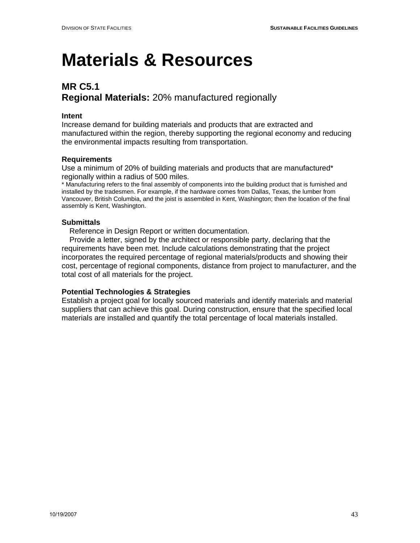## **MR C5.1 Regional Materials:** 20% manufactured regionally

#### **Intent**

Increase demand for building materials and products that are extracted and manufactured within the region, thereby supporting the regional economy and reducing the environmental impacts resulting from transportation.

#### **Requirements**

Use a minimum of 20% of building materials and products that are manufactured\* regionally within a radius of 500 miles.

\* Manufacturing refers to the final assembly of components into the building product that is furnished and installed by the tradesmen. For example, if the hardware comes from Dallas, Texas, the lumber from Vancouver, British Columbia, and the joist is assembled in Kent, Washington; then the location of the final assembly is Kent, Washington.

#### **Submittals**

Reference in Design Report or written documentation.

 Provide a letter, signed by the architect or responsible party, declaring that the requirements have been met. Include calculations demonstrating that the project incorporates the required percentage of regional materials/products and showing their cost, percentage of regional components, distance from project to manufacturer, and the total cost of all materials for the project.

#### **Potential Technologies & Strategies**

Establish a project goal for locally sourced materials and identify materials and material suppliers that can achieve this goal. During construction, ensure that the specified local materials are installed and quantify the total percentage of local materials installed.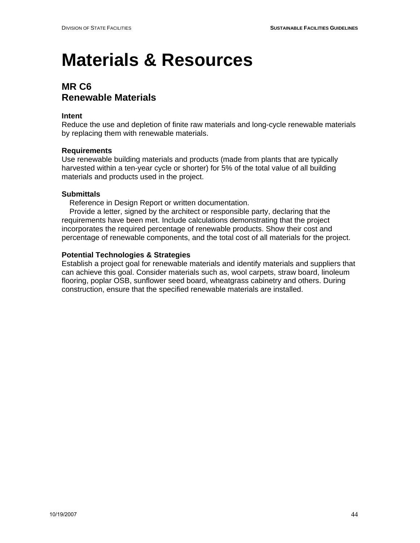### **MR C6 Renewable Materials**

#### **Intent**

Reduce the use and depletion of finite raw materials and long-cycle renewable materials by replacing them with renewable materials.

#### **Requirements**

Use renewable building materials and products (made from plants that are typically harvested within a ten-year cycle or shorter) for 5% of the total value of all building materials and products used in the project.

#### **Submittals**

Reference in Design Report or written documentation.

 Provide a letter, signed by the architect or responsible party, declaring that the requirements have been met. Include calculations demonstrating that the project incorporates the required percentage of renewable products. Show their cost and percentage of renewable components, and the total cost of all materials for the project.

#### **Potential Technologies & Strategies**

Establish a project goal for renewable materials and identify materials and suppliers that can achieve this goal. Consider materials such as, wool carpets, straw board, linoleum flooring, poplar OSB, sunflower seed board, wheatgrass cabinetry and others. During construction, ensure that the specified renewable materials are installed.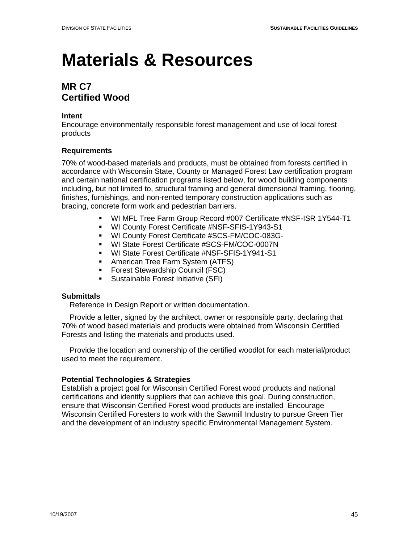### **MR C7 Certified Wood**

#### **Intent**

Encourage environmentally responsible forest management and use of local forest products

#### **Requirements**

70% of wood-based materials and products, must be obtained from forests certified in accordance with Wisconsin State, County or Managed Forest Law certification program and certain national certification programs listed below, for wood building components including, but not limited to, structural framing and general dimensional framing, flooring, finishes, furnishings, and non-rented temporary construction applications such as bracing, concrete form work and pedestrian barriers.

- WI MFL Tree Farm Group Record #007 Certificate #NSF-ISR 1Y544-T1
- WI County Forest Certificate #NSF-SFIS-1Y943-S1
- WI County Forest Certificate #SCS-FM/COC-083G-
- WI State Forest Certificate #SCS-FM/COC-0007N
- **WI State Forest Certificate #NSF-SFIS-1Y941-S1**
- **American Tree Farm System (ATFS)**
- **Forest Stewardship Council (FSC)**
- Sustainable Forest Initiative (SFI)

#### **Submittals**

Reference in Design Report or written documentation.

 Provide a letter, signed by the architect, owner or responsible party, declaring that 70% of wood based materials and products were obtained from Wisconsin Certified Forests and listing the materials and products used.

 Provide the location and ownership of the certified woodlot for each material/product used to meet the requirement.

#### **Potential Technologies & Strategies**

Establish a project goal for Wisconsin Certified Forest wood products and national certifications and identify suppliers that can achieve this goal. During construction, ensure that Wisconsin Certified Forest wood products are installed Encourage Wisconsin Certified Foresters to work with the Sawmill Industry to pursue Green Tier and the development of an industry specific Environmental Management System.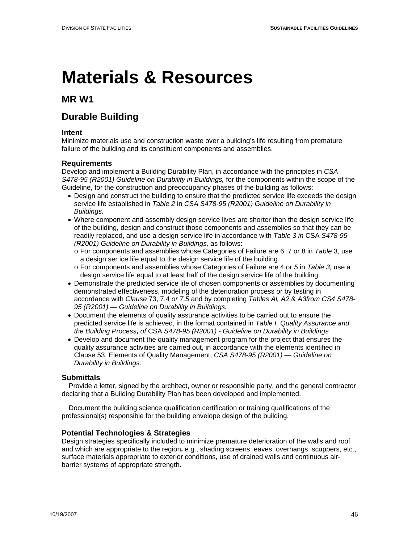### **MR W1**

## **Durable Building**

#### **Intent**

Minimize materials use and construction waste over a building's life resulting from premature failure of the building and its constituent components and assemblies.

#### **Requirements**

Develop and implement a Building Durability Plan, in accordance with the principles in *CSA S478-95 (R2001) Guideline on Durability in Buildings,* for the components within the scope of the Guideline, for the construction and preoccupancy phases of the building as follows:

- Design and construct the building to ensure that the predicted service life exceeds the design service life established in *Table 2* in *CSA S478-95 (R2001) Guideline on Durability in Buildings.*
- Where component and assembly design service lives are shorter than the design service life of the building, design and construct those components and assemblies so that they can be readily replaced, and use a design service life in accordance with *Table 3 in* CSA *S478-95 (R2001) Guideline on Durability in Buildings,* as follows:
	- o For components and assemblies whose Categories of Failure are 6, 7 or 8 in *Table* 3, use a design ser ice life equal to the design service life of the building.
	- o For components and assemblies whose Categories of Failure are 4 or *5* in *Table 3,* use a design service life equal to at least half of the design service life of the building.
- Demonstrate the predicted service life of chosen components or assemblies by documenting demonstrated effectiveness, modeling of the deterioration process or by testing in accordance with *Clause* 73, 7.4 *or 7.5* and by completing *Tables Al, A2* & *A3from CS4 S478- 95 (R2001)* — *Guideline on Durability in Buildings.*
- Document the elements of quality assurance activities to be carried out to ensure the predicted service life is achieved, in the format contained in *Table I, Quality Assurance and the Building Process, of* CSA *S478-95 (R2001)* - *Guideline on Durability in Buildings*
- Develop and document the quality management program for the project that ensures the quality assurance activities are carried out, in accordance with the elements identified in Clause 53, Elements of Quality Management, *CSA S478-95 (R2001)* — *Guideline on Durability in Buildings.*

#### **Submittals**

 Provide a letter, signed by the architect, owner or responsible party, and the general contractor declaring that a Building Durability Plan has been developed and implemented.

 Document the building science qualification certification or training qualifications of the professional(s) responsible for the building envelope design of the building.

#### **Potential Technologies & Strategies**

Design strategies specifically included to minimize premature deterioration of the walls and roof and which are appropriate to the region**.** e.g., shading screens, eaves, overhangs, scuppers, etc., surface materials appropriate to exterior conditions, use of drained walls and continuous airbarrier systems of appropriate strength.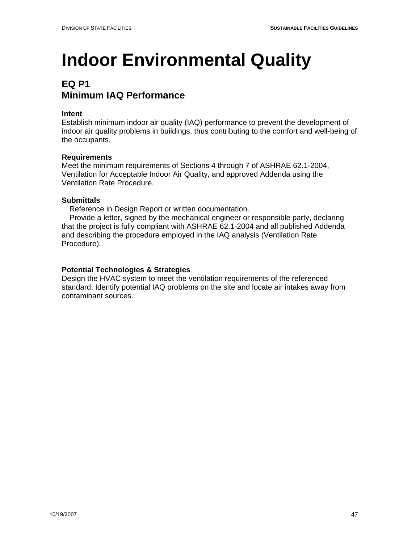## **EQ P1 Minimum IAQ Performance**

#### **Intent**

Establish minimum indoor air quality (IAQ) performance to prevent the development of indoor air quality problems in buildings, thus contributing to the comfort and well-being of the occupants.

#### **Requirements**

Meet the minimum requirements of Sections 4 through 7 of ASHRAE 62.1-2004, Ventilation for Acceptable Indoor Air Quality, and approved Addenda using the Ventilation Rate Procedure.

#### **Submittals**

Reference in Design Report or written documentation.

 Provide a letter, signed by the mechanical engineer or responsible party, declaring that the project is fully compliant with ASHRAE 62.1-2004 and all published Addenda and describing the procedure employed in the IAQ analysis (Ventilation Rate Procedure).

#### **Potential Technologies & Strategies**

Design the HVAC system to meet the ventilation requirements of the referenced standard. Identify potential IAQ problems on the site and locate air intakes away from contaminant sources.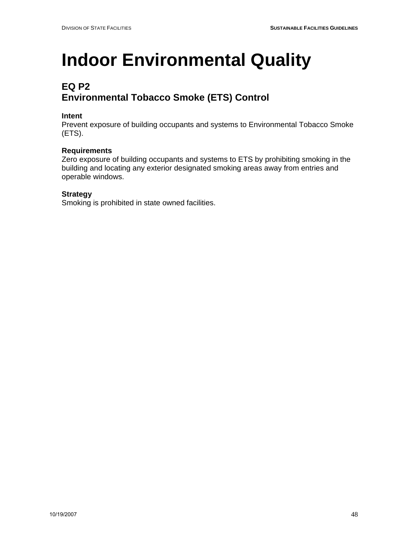## **EQ P2 Environmental Tobacco Smoke (ETS) Control**

#### **Intent**

Prevent exposure of building occupants and systems to Environmental Tobacco Smoke (ETS).

#### **Requirements**

Zero exposure of building occupants and systems to ETS by prohibiting smoking in the building and locating any exterior designated smoking areas away from entries and operable windows.

#### **Strategy**

Smoking is prohibited in state owned facilities.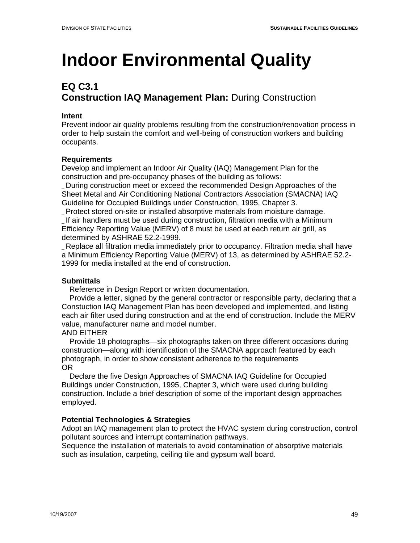## **EQ C3.1 Construction IAQ Management Plan:** During Construction

#### **Intent**

Prevent indoor air quality problems resulting from the construction/renovation process in order to help sustain the comfort and well-being of construction workers and building occupants.

### **Requirements**

Develop and implement an Indoor Air Quality (IAQ) Management Plan for the construction and pre-occupancy phases of the building as follows:

\_ During construction meet or exceed the recommended Design Approaches of the Sheet Metal and Air Conditioning National Contractors Association (SMACNA) IAQ Guideline for Occupied Buildings under Construction, 1995, Chapter 3.

\_ Protect stored on-site or installed absorptive materials from moisture damage. \_ If air handlers must be used during construction, filtration media with a Minimum Efficiency Reporting Value (MERV) of 8 must be used at each return air grill, as determined by ASHRAE 52.2-1999.

\_ Replace all filtration media immediately prior to occupancy. Filtration media shall have a Minimum Efficiency Reporting Value (MERV) of 13, as determined by ASHRAE 52.2- 1999 for media installed at the end of construction.

### **Submittals**

Reference in Design Report or written documentation.

 Provide a letter, signed by the general contractor or responsible party, declaring that a Constuction IAQ Management Plan has been developed and implemented, and listing each air filter used during construction and at the end of construction. Include the MERV value, manufacturer name and model number.

#### AND EITHER

 Provide 18 photographs—six photographs taken on three different occasions during construction—along with identification of the SMACNA approach featured by each photograph, in order to show consistent adherence to the requirements OR

 Declare the five Design Approaches of SMACNA IAQ Guideline for Occupied Buildings under Construction, 1995, Chapter 3, which were used during building construction. Include a brief description of some of the important design approaches employed.

### **Potential Technologies & Strategies**

Adopt an IAQ management plan to protect the HVAC system during construction, control pollutant sources and interrupt contamination pathways.

Sequence the installation of materials to avoid contamination of absorptive materials such as insulation, carpeting, ceiling tile and gypsum wall board.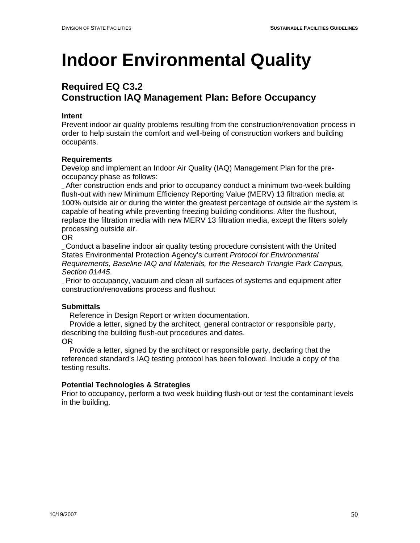## **Required EQ C3.2 Construction IAQ Management Plan: Before Occupancy**

#### **Intent**

Prevent indoor air quality problems resulting from the construction/renovation process in order to help sustain the comfort and well-being of construction workers and building occupants.

#### **Requirements**

Develop and implement an Indoor Air Quality (IAQ) Management Plan for the preoccupancy phase as follows:

\_ After construction ends and prior to occupancy conduct a minimum two-week building flush-out with new Minimum Efficiency Reporting Value (MERV) 13 filtration media at 100% outside air or during the winter the greatest percentage of outside air the system is capable of heating while preventing freezing building conditions. After the flushout, replace the filtration media with new MERV 13 filtration media, except the filters solely processing outside air.

#### OR

\_ Conduct a baseline indoor air quality testing procedure consistent with the United States Environmental Protection Agency's current *Protocol for Environmental Requirements, Baseline IAQ and Materials, for the Research Triangle Park Campus, Section 01445*.

\_ Prior to occupancy, vacuum and clean all surfaces of systems and equipment after construction/renovations process and flushout

### **Submittals**

Reference in Design Report or written documentation.

 Provide a letter, signed by the architect, general contractor or responsible party, describing the building flush-out procedures and dates.

#### OR

 Provide a letter, signed by the architect or responsible party, declaring that the referenced standard's IAQ testing protocol has been followed. Include a copy of the testing results.

#### **Potential Technologies & Strategies**

Prior to occupancy, perform a two week building flush-out or test the contaminant levels in the building.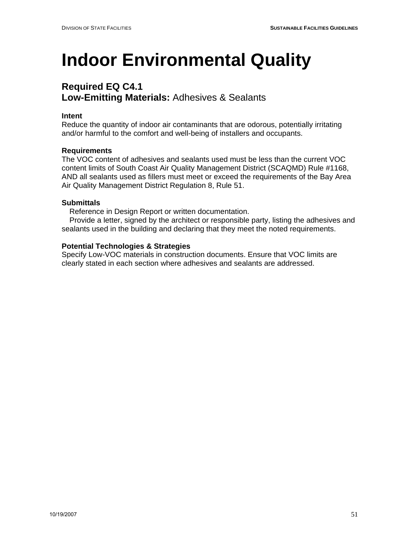## **Required EQ C4.1 Low-Emitting Materials:** Adhesives & Sealants

#### **Intent**

Reduce the quantity of indoor air contaminants that are odorous, potentially irritating and/or harmful to the comfort and well-being of installers and occupants.

#### **Requirements**

The VOC content of adhesives and sealants used must be less than the current VOC content limits of South Coast Air Quality Management District (SCAQMD) Rule #1168, AND all sealants used as fillers must meet or exceed the requirements of the Bay Area Air Quality Management District Regulation 8, Rule 51.

#### **Submittals**

Reference in Design Report or written documentation.

 Provide a letter, signed by the architect or responsible party, listing the adhesives and sealants used in the building and declaring that they meet the noted requirements.

#### **Potential Technologies & Strategies**

Specify Low-VOC materials in construction documents. Ensure that VOC limits are clearly stated in each section where adhesives and sealants are addressed.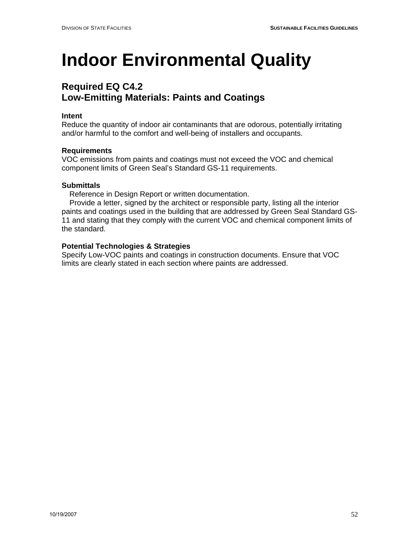## **Required EQ C4.2 Low-Emitting Materials: Paints and Coatings**

#### **Intent**

Reduce the quantity of indoor air contaminants that are odorous, potentially irritating and/or harmful to the comfort and well-being of installers and occupants.

#### **Requirements**

VOC emissions from paints and coatings must not exceed the VOC and chemical component limits of Green Seal's Standard GS-11 requirements.

#### **Submittals**

Reference in Design Report or written documentation.

 Provide a letter, signed by the architect or responsible party, listing all the interior paints and coatings used in the building that are addressed by Green Seal Standard GS-11 and stating that they comply with the current VOC and chemical component limits of the standard.

#### **Potential Technologies & Strategies**

Specify Low-VOC paints and coatings in construction documents. Ensure that VOC limits are clearly stated in each section where paints are addressed.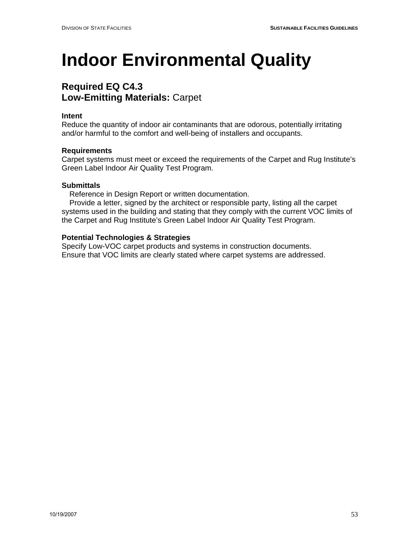### **Required EQ C4.3 Low-Emitting Materials:** Carpet

#### **Intent**

Reduce the quantity of indoor air contaminants that are odorous, potentially irritating and/or harmful to the comfort and well-being of installers and occupants.

#### **Requirements**

Carpet systems must meet or exceed the requirements of the Carpet and Rug Institute's Green Label Indoor Air Quality Test Program.

#### **Submittals**

Reference in Design Report or written documentation.

 Provide a letter, signed by the architect or responsible party, listing all the carpet systems used in the building and stating that they comply with the current VOC limits of the Carpet and Rug Institute's Green Label Indoor Air Quality Test Program.

#### **Potential Technologies & Strategies**

Specify Low-VOC carpet products and systems in construction documents. Ensure that VOC limits are clearly stated where carpet systems are addressed.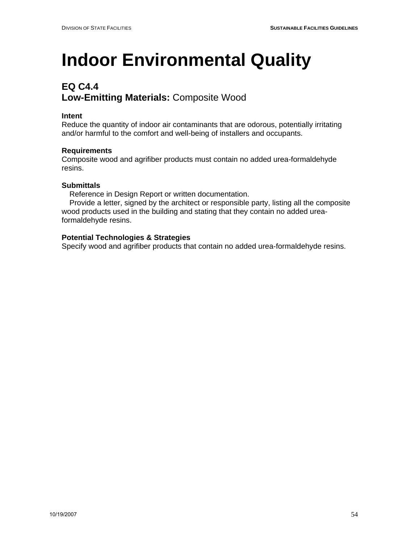## **EQ C4.4 Low-Emitting Materials:** Composite Wood

#### **Intent**

Reduce the quantity of indoor air contaminants that are odorous, potentially irritating and/or harmful to the comfort and well-being of installers and occupants.

#### **Requirements**

Composite wood and agrifiber products must contain no added urea-formaldehyde resins.

#### **Submittals**

Reference in Design Report or written documentation.

 Provide a letter, signed by the architect or responsible party, listing all the composite wood products used in the building and stating that they contain no added ureaformaldehyde resins.

#### **Potential Technologies & Strategies**

Specify wood and agrifiber products that contain no added urea-formaldehyde resins.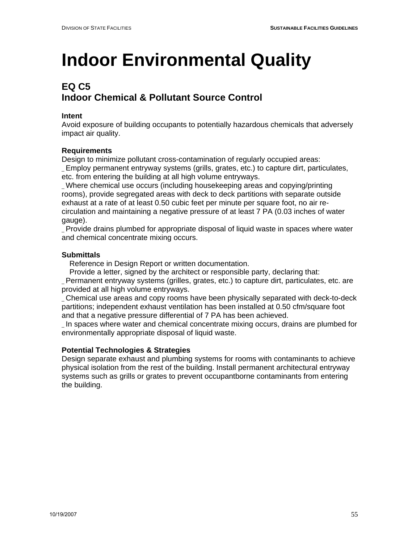## **EQ C5 Indoor Chemical & Pollutant Source Control**

#### **Intent**

Avoid exposure of building occupants to potentially hazardous chemicals that adversely impact air quality.

#### **Requirements**

Design to minimize pollutant cross-contamination of regularly occupied areas: \_ Employ permanent entryway systems (grills, grates, etc.) to capture dirt, particulates, etc. from entering the building at all high volume entryways.

\_ Where chemical use occurs (including housekeeping areas and copying/printing rooms), provide segregated areas with deck to deck partitions with separate outside exhaust at a rate of at least 0.50 cubic feet per minute per square foot, no air recirculation and maintaining a negative pressure of at least 7 PA (0.03 inches of water gauge).

\_ Provide drains plumbed for appropriate disposal of liquid waste in spaces where water and chemical concentrate mixing occurs.

### **Submittals**

Reference in Design Report or written documentation.

Provide a letter, signed by the architect or responsible party, declaring that:

\_ Permanent entryway systems (grilles, grates, etc.) to capture dirt, particulates, etc. are provided at all high volume entryways.

\_ Chemical use areas and copy rooms have been physically separated with deck-to-deck partitions; independent exhaust ventilation has been installed at 0.50 cfm/square foot and that a negative pressure differential of 7 PA has been achieved.

\_ In spaces where water and chemical concentrate mixing occurs, drains are plumbed for environmentally appropriate disposal of liquid waste.

### **Potential Technologies & Strategies**

Design separate exhaust and plumbing systems for rooms with contaminants to achieve physical isolation from the rest of the building. Install permanent architectural entryway systems such as grills or grates to prevent occupantborne contaminants from entering the building.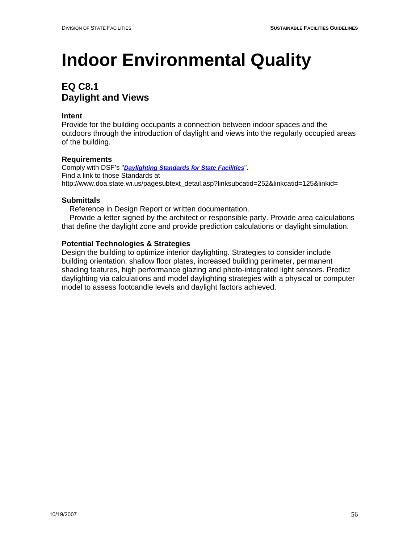## **EQ C8.1 Daylight and Views**

#### **Intent**

Provide for the building occupants a connection between indoor spaces and the outdoors through the introduction of daylight and views into the regularly occupied areas of the building.

#### **Requirements**

Comply with DSF's "*Daylighting Standards for State Facilities*". Find a link to those Standards at http://www.doa.state.wi.us/pagesubtext\_detail.asp?linksubcatid=252&linkcatid=125&linkid=

#### **Submittals**

Reference in Design Report or written documentation.

 Provide a letter signed by the architect or responsible party. Provide area calculations that define the daylight zone and provide prediction calculations or daylight simulation.

#### **Potential Technologies & Strategies**

Design the building to optimize interior daylighting. Strategies to consider include building orientation, shallow floor plates, increased building perimeter, permanent shading features, high performance glazing and photo-integrated light sensors. Predict daylighting via calculations and model daylighting strategies with a physical or computer model to assess footcandle levels and daylight factors achieved.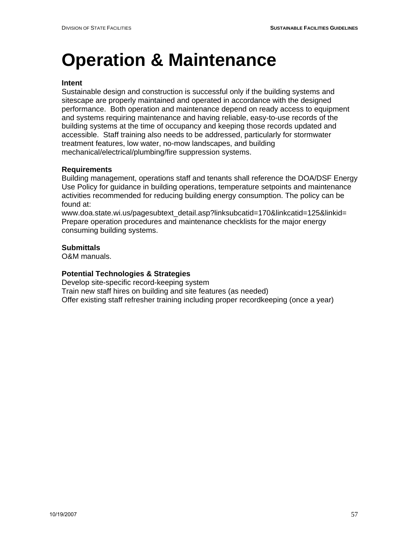## **Operation & Maintenance**

#### **Intent**

Sustainable design and construction is successful only if the building systems and sitescape are properly maintained and operated in accordance with the designed performance. Both operation and maintenance depend on ready access to equipment and systems requiring maintenance and having reliable, easy-to-use records of the building systems at the time of occupancy and keeping those records updated and accessible. Staff training also needs to be addressed, particularly for stormwater treatment features, low water, no-mow landscapes, and building mechanical/electrical/plumbing/fire suppression systems.

#### **Requirements**

Building management, operations staff and tenants shall reference the DOA/DSF Energy Use Policy for guidance in building operations, temperature setpoints and maintenance activities recommended for reducing building energy consumption. The policy can be found at:

www.doa.state.wi.us/pagesubtext\_detail.asp?linksubcatid=170&linkcatid=125&linkid= Prepare operation procedures and maintenance checklists for the major energy consuming building systems.

#### **Submittals**

O&M manuals.

#### **Potential Technologies & Strategies**

Develop site-specific record-keeping system Train new staff hires on building and site features (as needed) Offer existing staff refresher training including proper recordkeeping (once a year)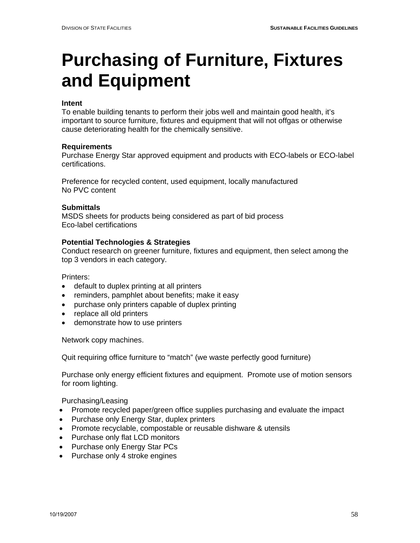# **Purchasing of Furniture, Fixtures and Equipment**

#### **Intent**

To enable building tenants to perform their jobs well and maintain good health, it's important to source furniture, fixtures and equipment that will not offgas or otherwise cause deteriorating health for the chemically sensitive.

#### **Requirements**

Purchase Energy Star approved equipment and products with ECO-labels or ECO-label certifications.

Preference for recycled content, used equipment, locally manufactured No PVC content

#### **Submittals**

MSDS sheets for products being considered as part of bid process Eco-label certifications

#### **Potential Technologies & Strategies**

Conduct research on greener furniture, fixtures and equipment, then select among the top 3 vendors in each category.

Printers:

- default to duplex printing at all printers
- reminders, pamphlet about benefits; make it easy
- purchase only printers capable of duplex printing
- replace all old printers
- demonstrate how to use printers

Network copy machines.

Quit requiring office furniture to "match" (we waste perfectly good furniture)

Purchase only energy efficient fixtures and equipment. Promote use of motion sensors for room lighting.

Purchasing/Leasing

- Promote recycled paper/green office supplies purchasing and evaluate the impact
- Purchase only Energy Star, duplex printers
- Promote recyclable, compostable or reusable dishware & utensils
- Purchase only flat LCD monitors
- Purchase only Energy Star PCs
- Purchase only 4 stroke engines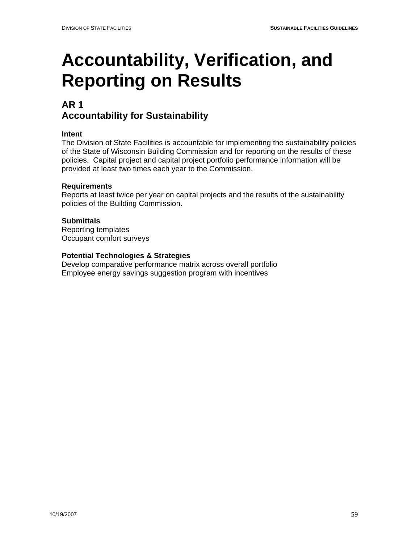## **AR 1 Accountability for Sustainability**

### **Intent**

The Division of State Facilities is accountable for implementing the sustainability policies of the State of Wisconsin Building Commission and for reporting on the results of these policies. Capital project and capital project portfolio performance information will be provided at least two times each year to the Commission.

### **Requirements**

Reports at least twice per year on capital projects and the results of the sustainability policies of the Building Commission.

### **Submittals**

Reporting templates Occupant comfort surveys

#### **Potential Technologies & Strategies**

Develop comparative performance matrix across overall portfolio Employee energy savings suggestion program with incentives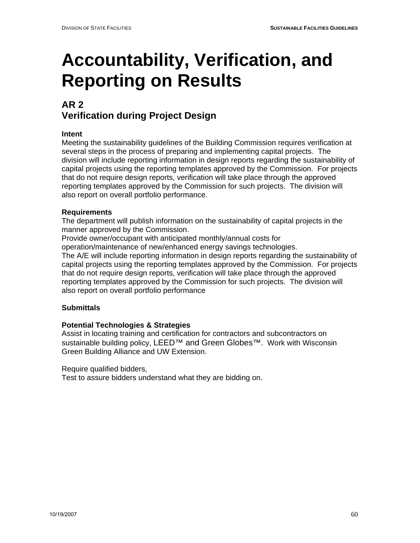## **AR 2 Verification during Project Design**

### **Intent**

Meeting the sustainability guidelines of the Building Commission requires verification at several steps in the process of preparing and implementing capital projects. The division will include reporting information in design reports regarding the sustainability of capital projects using the reporting templates approved by the Commission. For projects that do not require design reports, verification will take place through the approved reporting templates approved by the Commission for such projects. The division will also report on overall portfolio performance.

### **Requirements**

The department will publish information on the sustainability of capital projects in the manner approved by the Commission.

Provide owner/occupant with anticipated monthly/annual costs for

operation/maintenance of new/enhanced energy savings technologies.

The A/E will include reporting information in design reports regarding the sustainability of capital projects using the reporting templates approved by the Commission. For projects that do not require design reports, verification will take place through the approved reporting templates approved by the Commission for such projects. The division will also report on overall portfolio performance

### **Submittals**

#### **Potential Technologies & Strategies**

Assist in locating training and certification for contractors and subcontractors on sustainable building policy, LEED™ and Green Globes™. Work with Wisconsin Green Building Alliance and UW Extension.

Require qualified bidders,

Test to assure bidders understand what they are bidding on.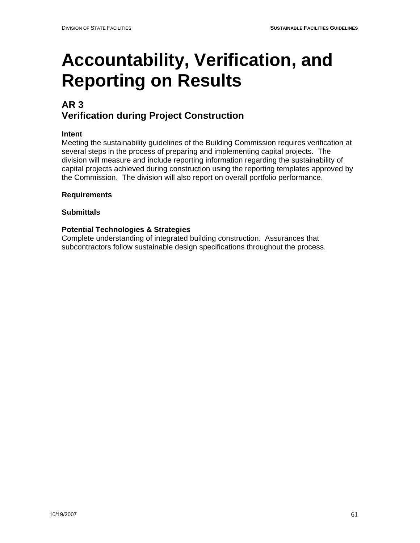## **AR 3 Verification during Project Construction**

### **Intent**

Meeting the sustainability guidelines of the Building Commission requires verification at several steps in the process of preparing and implementing capital projects. The division will measure and include reporting information regarding the sustainability of capital projects achieved during construction using the reporting templates approved by the Commission. The division will also report on overall portfolio performance.

#### **Requirements**

#### **Submittals**

### **Potential Technologies & Strategies**

Complete understanding of integrated building construction. Assurances that subcontractors follow sustainable design specifications throughout the process.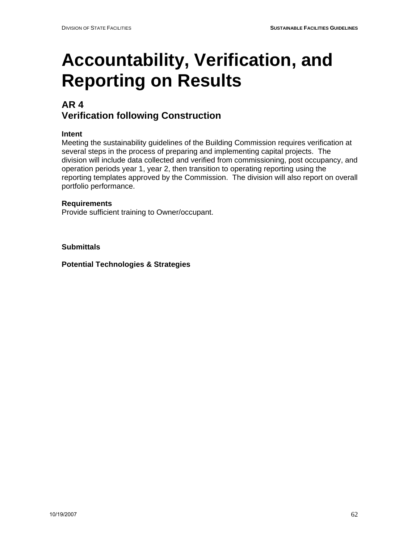## **AR 4 Verification following Construction**

### **Intent**

Meeting the sustainability guidelines of the Building Commission requires verification at several steps in the process of preparing and implementing capital projects. The division will include data collected and verified from commissioning, post occupancy, and operation periods year 1, year 2, then transition to operating reporting using the reporting templates approved by the Commission. The division will also report on overall portfolio performance.

#### **Requirements**

Provide sufficient training to Owner/occupant.

**Submittals** 

**Potential Technologies & Strategies**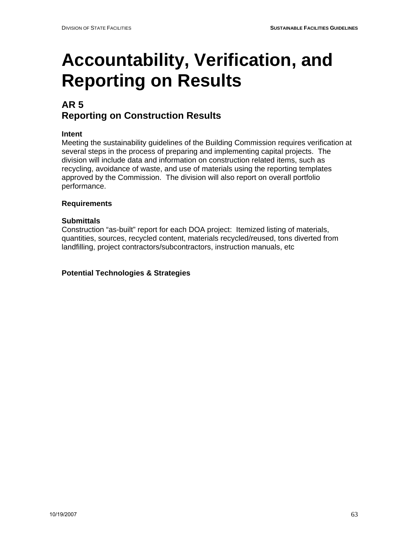## **AR 5 Reporting on Construction Results**

### **Intent**

Meeting the sustainability guidelines of the Building Commission requires verification at several steps in the process of preparing and implementing capital projects. The division will include data and information on construction related items, such as recycling, avoidance of waste, and use of materials using the reporting templates approved by the Commission. The division will also report on overall portfolio performance.

### **Requirements**

### **Submittals**

Construction "as-built" report for each DOA project: Itemized listing of materials, quantities, sources, recycled content, materials recycled/reused, tons diverted from landfilling, project contractors/subcontractors, instruction manuals, etc

**Potential Technologies & Strategies**